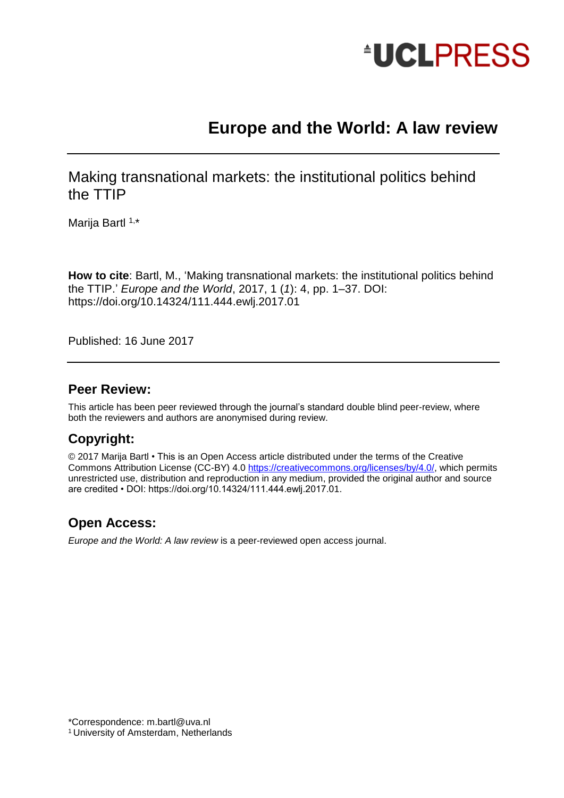

# **Europe and the World: A law review**

Making transnational markets: the institutional politics behind the TTIP

Marija Bartl<sup>1,\*</sup>

**How to cite**: Bartl, M., 'Making transnational markets: the institutional politics behind the TTIP.' *Europe and the World*, 2017, 1 (*1*): 4, pp. 1–37. DOI: https://doi.org/10.14324/111.444.ewlj.2017.01

Published: 16 June 2017

### **Peer Review:**

This article has been peer reviewed through the journal's standard double blind peer-review, where both the reviewers and authors are anonymised during review.

## **Copyright:**

© 2017 Marija Bartl • This is an Open Access article distributed under the terms of the Creative Commons Attribution License (CC-BY) 4.0 [https://creativecommons.org/licenses/by/4.0/,](https://creativecommons.org/licenses/by/4.0/) which permits unrestricted use, distribution and reproduction in any medium, provided the original author and source are credited • DOI: https://doi.org/10.14324/111.444.ewlj.2017.01.

## **Open Access:**

*Europe and the World: A law review* is a peer-reviewed open access journal.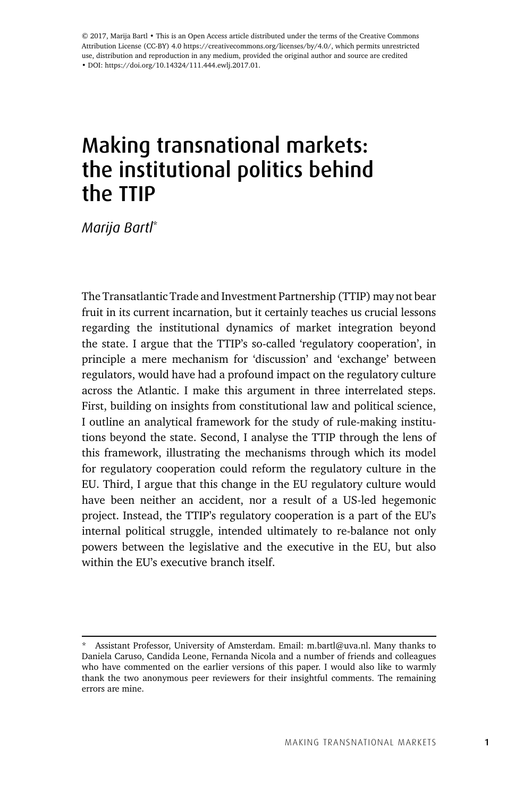© 2017, Marija Bartl • This is an Open Access article distributed under the terms of the Creative Commons Attribution License (CC-BY) 4.0 https://creativecommons.org/licenses/by/4.0/, which permits unrestricted use, distribution and reproduction in any medium, provided the original author and source are credited • DOI: https://doi.org/10.14324/111.444.ewlj.2017.01.

# Making transnational markets: the institutional politics behind the TTIP

*Marija Bartl*\*

The Transatlantic Trade and Investment Partnership (TTIP) may not bear fruit in its current incarnation, but it certainly teaches us crucial lessons regarding the institutional dynamics of market integration beyond the state. I argue that the TTIP's so-called 'regulatory cooperation', in principle a mere mechanism for 'discussion' and 'exchange' between regulators, would have had a profound impact on the regulatory culture across the Atlantic. I make this argument in three interrelated steps. First, building on insights from constitutional law and political science, I outline an analytical framework for the study of rule-making institutions beyond the state. Second, I analyse the TTIP through the lens of this framework, illustrating the mechanisms through which its model for regulatory cooperation could reform the regulatory culture in the EU. Third, I argue that this change in the EU regulatory culture would have been neither an accident, nor a result of a US-led hegemonic project. Instead, the TTIP's regulatory cooperation is a part of the EU's internal political struggle, intended ultimately to re-balance not only powers between the legislative and the executive in the EU, but also within the EU's executive branch itself.

Assistant Professor, University of Amsterdam. Email: m.bartl@uva.nl. Many thanks to Daniela Caruso, Candida Leone, Fernanda Nicola and a number of friends and colleagues who have commented on the earlier versions of this paper. I would also like to warmly thank the two anonymous peer reviewers for their insightful comments. The remaining errors are mine.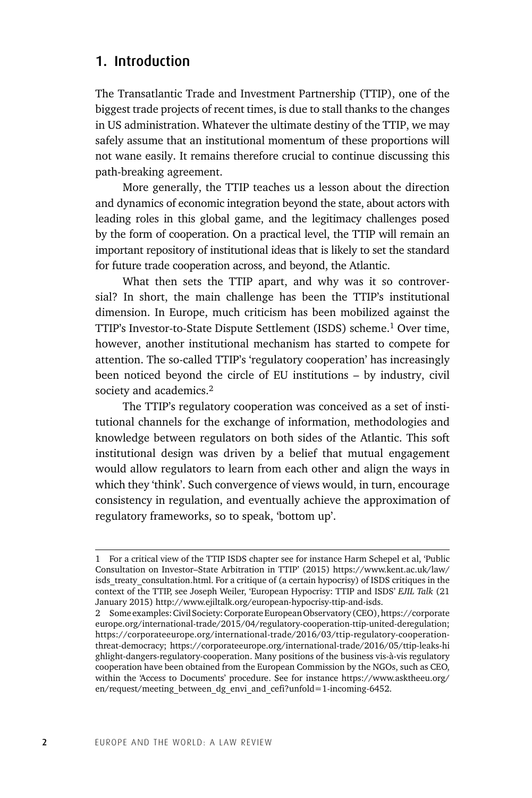### 1. Introduction

The Transatlantic Trade and Investment Partnership (TTIP), one of the biggest trade projects of recent times, is due to stall thanks to the changes in US administration. Whatever the ultimate destiny of the TTIP, we may safely assume that an institutional momentum of these proportions will not wane easily. It remains therefore crucial to continue discussing this path-breaking agreement.

More generally, the TTIP teaches us a lesson about the direction and dynamics of economic integration beyond the state, about actors with leading roles in this global game, and the legitimacy challenges posed by the form of cooperation. On a practical level, the TTIP will remain an important repository of institutional ideas that is likely to set the standard for future trade cooperation across, and beyond, the Atlantic.

What then sets the TTIP apart, and why was it so controversial? In short, the main challenge has been the TTIP's institutional dimension. In Europe, much criticism has been mobilized against the TTIP's Investor-to-State Dispute Settlement (ISDS) scheme.1 Over time, however, another institutional mechanism has started to compete for attention. The so-called TTIP's 'regulatory cooperation' has increasingly been noticed beyond the circle of EU institutions – by industry, civil society and academics.<sup>2</sup>

The TTIP's regulatory cooperation was conceived as a set of institutional channels for the exchange of information, methodologies and knowledge between regulators on both sides of the Atlantic. This soft institutional design was driven by a belief that mutual engagement would allow regulators to learn from each other and align the ways in which they 'think'. Such convergence of views would, in turn, encourage consistency in regulation, and eventually achieve the approximation of regulatory frameworks, so to speak, 'bottom up'.

<sup>1</sup> For a critical view of the TTIP ISDS chapter see for instance Harm Schepel et al, 'Public Consultation on Investor–State Arbitration in TTIP' (2015) https://www.kent.ac.uk/law/ isds treaty consultation.html. For a critique of (a certain hypocrisy) of ISDS critiques in the context of the TTIP, see Joseph Weiler, 'European Hypocrisy: TTIP and ISDS' *EJIL Talk* (21 January 2015) http://www.ejiltalk.org/european-hypocrisy-ttip-and-isds.

<sup>2</sup> Some examples: Civil Society: Corporate European Observatory (CEO), https://corporate europe.org/international-trade/2015/04/regulatory-cooperation-ttip-united-deregulation; https://corporateeurope.org/international-trade/2016/03/ttip-regulatory-cooperationthreat-democracy; https://corporateeurope.org/international-trade/2016/05/ttip-leaks-hi ghlight-dangers-regulatory-cooperation. Many positions of the business vis-à-vis regulatory cooperation have been obtained from the European Commission by the NGOs, such as CEO, within the 'Access to Documents' procedure. See for instance https://www.asktheeu.org/ en/request/meeting\_between\_dg\_envi\_and\_cefi?unfold=1-incoming-6452.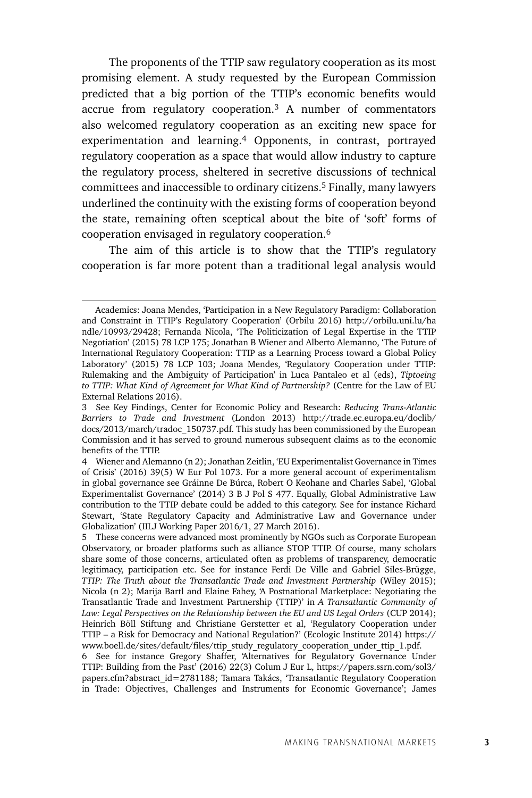The proponents of the TTIP saw regulatory cooperation as its most promising element. A study requested by the European Commission predicted that a big portion of the TTIP's economic benefits would accrue from regulatory cooperation.3 A number of commentators also welcomed regulatory cooperation as an exciting new space for experimentation and learning.4 Opponents, in contrast, portrayed regulatory cooperation as a space that would allow industry to capture the regulatory process, sheltered in secretive discussions of technical committees and inaccessible to ordinary citizens.5 Finally, many lawyers underlined the continuity with the existing forms of cooperation beyond the state, remaining often sceptical about the bite of 'soft' forms of cooperation envisaged in regulatory cooperation.6

The aim of this article is to show that the TTIP's regulatory cooperation is far more potent than a traditional legal analysis would

Academics: Joana Mendes, 'Participation in a New Regulatory Paradigm: Collaboration and Constraint in TTIP's Regulatory Cooperation' (Orbilu 2016) http://orbilu.uni.lu/ha ndle/10993/29428; Fernanda Nicola, 'The Politicization of Legal Expertise in the TTIP Negotiation' (2015) 78 LCP 175; Jonathan B Wiener and Alberto Alemanno, 'The Future of International Regulatory Cooperation: TTIP as a Learning Process toward a Global Policy Laboratory' (2015) 78 LCP 103; Joana Mendes, 'Regulatory Cooperation under TTIP: Rulemaking and the Ambiguity of Participation' in Luca Pantaleo et al (eds), *Tiptoeing to TTIP: What Kind of Agreement for What Kind of Partnership?* (Centre for the Law of EU External Relations 2016).

<sup>3</sup> See Key Findings, Center for Economic Policy and Research: *Reducing Trans-Atlantic Barriers to Trade and Investment* (London 2013) http://trade.ec.europa.eu/doclib/ docs/2013/march/tradoc\_150737.pdf. This study has been commissioned by the European Commission and it has served to ground numerous subsequent claims as to the economic benefits of the TTIP.

<sup>4</sup> Wiener and Alemanno (n 2); Jonathan Zeitlin, 'EU Experimentalist Governance in Times of Crisis' (2016) 39(5) W Eur Pol 1073. For a more general account of experimentalism in global governance see Gráinne De Búrca, Robert O Keohane and Charles Sabel, 'Global Experimentalist Governance' (2014) 3 B J Pol S 477. Equally, Global Administrative Law contribution to the TTIP debate could be added to this category. See for instance Richard Stewart, 'State Regulatory Capacity and Administrative Law and Governance under Globalization' (IILJ Working Paper 2016/1, 27 March 2016).

<sup>5</sup> These concerns were advanced most prominently by NGOs such as Corporate European Observatory, or broader platforms such as alliance STOP TTIP. Of course, many scholars share some of those concerns, articulated often as problems of transparency, democratic legitimacy, participation etc. See for instance Ferdi De Ville and Gabriel Siles-Brügge, *TTIP: The Truth about the Transatlantic Trade and Investment Partnership* (Wiley 2015); Nicola (n 2); Marija Bartl and Elaine Fahey, 'A Postnational Marketplace: Negotiating the Transatlantic Trade and Investment Partnership (TTIP)' in *A Transatlantic Community of Law: Legal Perspectives on the Relationship between the EU and US Legal Orders* (CUP 2014); Heinrich Böll Stiftung and Christiane Gerstetter et al, 'Regulatory Cooperation under TTIP – a Risk for Democracy and National Regulation?' (Ecologic Institute 2014) https:// www.boell.de/sites/default/files/ttip\_study\_regulatory\_cooperation\_under\_ttip\_1.pdf.

<sup>6</sup> See for instance Gregory Shaffer, 'Alternatives for Regulatory Governance Under TTIP: Building from the Past' (2016) 22(3) Colum J Eur L, https://papers.ssrn.com/sol3/ papers.cfm?abstract\_id=2781188; Tamara Takács, 'Transatlantic Regulatory Cooperation in Trade: Objectives, Challenges and Instruments for Economic Governance'; James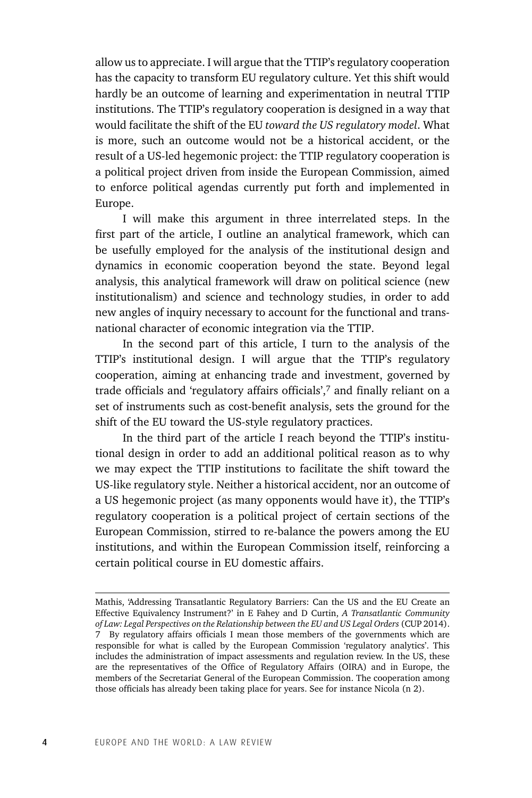allow us to appreciate. I will argue that the TTIP's regulatory cooperation has the capacity to transform EU regulatory culture. Yet this shift would hardly be an outcome of learning and experimentation in neutral TTIP institutions. The TTIP's regulatory cooperation is designed in a way that would facilitate the shift of the EU *toward the US regulatory model*. What is more, such an outcome would not be a historical accident, or the result of a US-led hegemonic project: the TTIP regulatory cooperation is a political project driven from inside the European Commission, aimed to enforce political agendas currently put forth and implemented in Europe.

I will make this argument in three interrelated steps. In the first part of the article, I outline an analytical framework, which can be usefully employed for the analysis of the institutional design and dynamics in economic cooperation beyond the state. Beyond legal analysis, this analytical framework will draw on political science (new institutionalism) and science and technology studies, in order to add new angles of inquiry necessary to account for the functional and transnational character of economic integration via the TTIP.

In the second part of this article, I turn to the analysis of the TTIP's institutional design. I will argue that the TTIP's regulatory cooperation, aiming at enhancing trade and investment, governed by trade officials and 'regulatory affairs officials',7 and finally reliant on a set of instruments such as cost-benefit analysis, sets the ground for the shift of the EU toward the US-style regulatory practices.

In the third part of the article I reach beyond the TTIP's institutional design in order to add an additional political reason as to why we may expect the TTIP institutions to facilitate the shift toward the US-like regulatory style. Neither a historical accident, nor an outcome of a US hegemonic project (as many opponents would have it), the TTIP's regulatory cooperation is a political project of certain sections of the European Commission, stirred to re-balance the powers among the EU institutions, and within the European Commission itself, reinforcing a certain political course in EU domestic affairs.

Mathis, 'Addressing Transatlantic Regulatory Barriers: Can the US and the EU Create an Effective Equivalency Instrument?' in E Fahey and D Curtin, *A Transatlantic Community of Law: Legal Perspectives on the Relationship between the EU and US Legal Orders* (CUP 2014). 7 By regulatory affairs officials I mean those members of the governments which are responsible for what is called by the European Commission 'regulatory analytics'. This includes the administration of impact assessments and regulation review. In the US, these are the representatives of the Office of Regulatory Affairs (OIRA) and in Europe, the members of the Secretariat General of the European Commission. The cooperation among those officials has already been taking place for years. See for instance Nicola (n 2).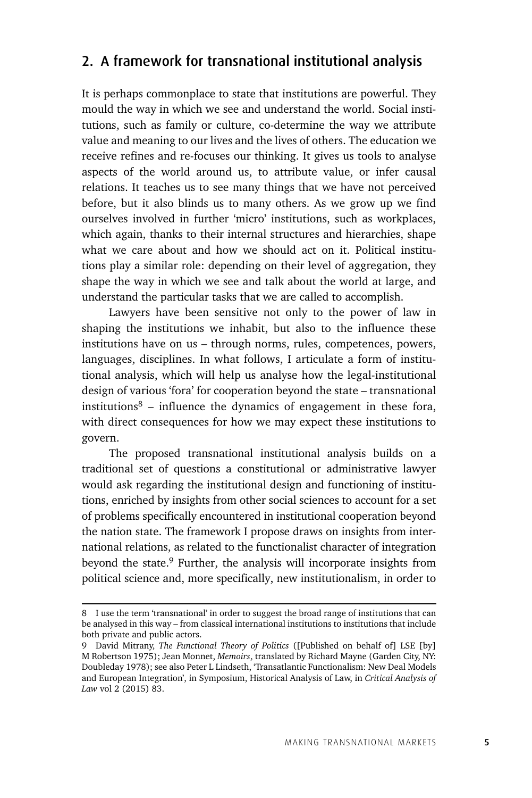### 2. A framework for transnational institutional analysis

It is perhaps commonplace to state that institutions are powerful. They mould the way in which we see and understand the world. Social institutions, such as family or culture, co-determine the way we attribute value and meaning to our lives and the lives of others. The education we receive refines and re-focuses our thinking. It gives us tools to analyse aspects of the world around us, to attribute value, or infer causal relations. It teaches us to see many things that we have not perceived before, but it also blinds us to many others. As we grow up we find ourselves involved in further 'micro' institutions, such as workplaces, which again, thanks to their internal structures and hierarchies, shape what we care about and how we should act on it. Political institutions play a similar role: depending on their level of aggregation, they shape the way in which we see and talk about the world at large, and understand the particular tasks that we are called to accomplish.

Lawyers have been sensitive not only to the power of law in shaping the institutions we inhabit, but also to the influence these institutions have on us – through norms, rules, competences, powers, languages, disciplines. In what follows, I articulate a form of institutional analysis, which will help us analyse how the legal-institutional design of various 'fora' for cooperation beyond the state – transnational institutions<sup>8</sup> – influence the dynamics of engagement in these fora, with direct consequences for how we may expect these institutions to govern.

The proposed transnational institutional analysis builds on a traditional set of questions a constitutional or administrative lawyer would ask regarding the institutional design and functioning of institutions, enriched by insights from other social sciences to account for a set of problems specifically encountered in institutional cooperation beyond the nation state. The framework I propose draws on insights from international relations, as related to the functionalist character of integration beyond the state.9 Further, the analysis will incorporate insights from political science and, more specifically, new institutionalism, in order to

<sup>8</sup> I use the term 'transnational' in order to suggest the broad range of institutions that can be analysed in this way – from classical international institutions to institutions that include both private and public actors.

<sup>9</sup> David Mitrany, *The Functional Theory of Politics* ([Published on behalf of] LSE [by] M Robertson 1975); Jean Monnet, *Memoirs*, translated by Richard Mayne (Garden City, NY: Doubleday 1978); see also Peter L Lindseth, 'Transatlantic Functionalism: New Deal Models and European Integration', in Symposium, Historical Analysis of Law, in *Critical Analysis of Law* vol 2 (2015) 83.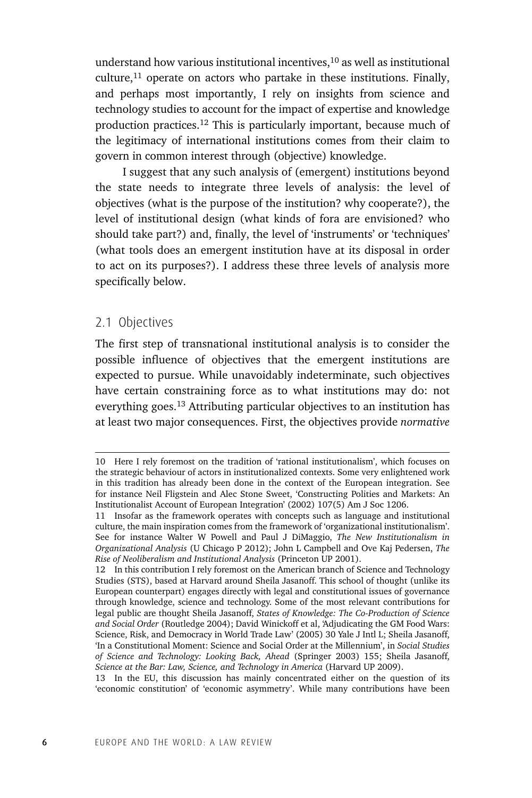understand how various institutional incentives, $10$  as well as institutional culture, $11$  operate on actors who partake in these institutions. Finally, and perhaps most importantly, I rely on insights from science and technology studies to account for the impact of expertise and knowledge production practices.<sup>12</sup> This is particularly important, because much of the legitimacy of international institutions comes from their claim to govern in common interest through (objective) knowledge.

I suggest that any such analysis of (emergent) institutions beyond the state needs to integrate three levels of analysis: the level of objectives (what is the purpose of the institution? why cooperate?), the level of institutional design (what kinds of fora are envisioned? who should take part?) and, finally, the level of 'instruments' or 'techniques' (what tools does an emergent institution have at its disposal in order to act on its purposes?). I address these three levels of analysis more specifically below.

### 2.1 Objectives

The first step of transnational institutional analysis is to consider the possible influence of objectives that the emergent institutions are expected to pursue. While unavoidably indeterminate, such objectives have certain constraining force as to what institutions may do: not everything goes.13 Attributing particular objectives to an institution has at least two major consequences. First, the objectives provide *normative* 

<sup>10</sup> Here I rely foremost on the tradition of 'rational institutionalism', which focuses on the strategic behaviour of actors in institutionalized contexts. Some very enlightened work in this tradition has already been done in the context of the European integration. See for instance Neil Fligstein and Alec Stone Sweet, 'Constructing Polities and Markets: An Institutionalist Account of European Integration' (2002) 107(5) Am J Soc 1206.

<sup>11</sup> Insofar as the framework operates with concepts such as language and institutional culture, the main inspiration comes from the framework of 'organizational institutionalism'. See for instance Walter W Powell and Paul J DiMaggio, *The New Institutionalism in Organizational Analysis* (U Chicago P 2012); John L Campbell and Ove Kaj Pedersen, *The Rise of Neoliberalism and Institutional Analysis* (Princeton UP 2001).

<sup>12</sup> In this contribution I rely foremost on the American branch of Science and Technology Studies (STS), based at Harvard around Sheila Jasanoff. This school of thought (unlike its European counterpart) engages directly with legal and constitutional issues of governance through knowledge, science and technology. Some of the most relevant contributions for legal public are thought Sheila Jasanoff, *States of Knowledge: The Co-Production of Science and Social Order* (Routledge 2004); David Winickoff et al, 'Adjudicating the GM Food Wars: Science, Risk, and Democracy in World Trade Law' (2005) 30 Yale J Intl L; Sheila Jasanoff, 'In a Constitutional Moment: Science and Social Order at the Millennium', in *Social Studies of Science and Technology: Looking Back, Ahead* (Springer 2003) 155; Sheila Jasanoff, *Science at the Bar: Law, Science, and Technology in America* (Harvard UP 2009).

<sup>13</sup> In the EU, this discussion has mainly concentrated either on the question of its 'economic constitution' of 'economic asymmetry'. While many contributions have been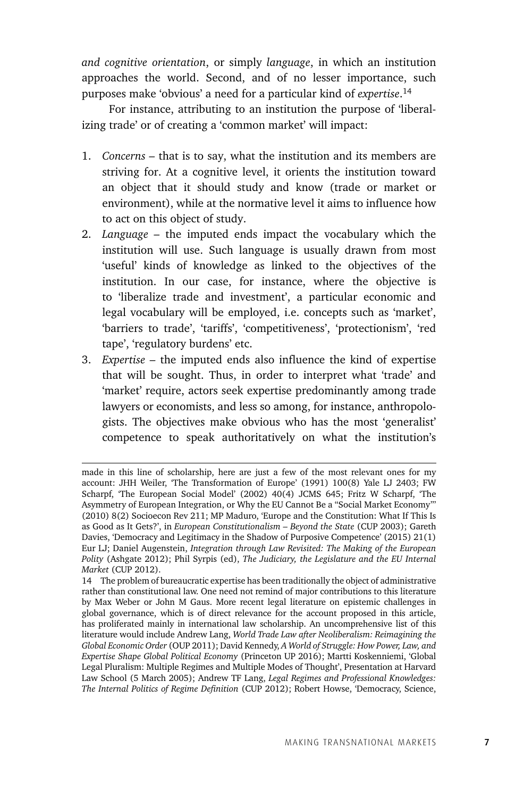*and cognitive orientation*, or simply *language*, in which an institution approaches the world. Second, and of no lesser importance, such purposes make 'obvious' a need for a particular kind of *expertise*. 14

For instance, attributing to an institution the purpose of 'liberalizing trade' or of creating a 'common market' will impact:

- 1. *Concerns –* that is to say, what the institution and its members are striving for. At a cognitive level, it orients the institution toward an object that it should study and know (trade or market or environment), while at the normative level it aims to influence how to act on this object of study.
- 2. *Language –* the imputed ends impact the vocabulary which the institution will use. Such language is usually drawn from most 'useful' kinds of knowledge as linked to the objectives of the institution. In our case, for instance, where the objective is to 'liberalize trade and investment', a particular economic and legal vocabulary will be employed, i.e. concepts such as 'market', 'barriers to trade', 'tariffs', 'competitiveness', 'protectionism', 'red tape', 'regulatory burdens' etc.
- 3. *Expertise –* the imputed ends also influence the kind of expertise that will be sought. Thus, in order to interpret what 'trade' and 'market' require, actors seek expertise predominantly among trade lawyers or economists, and less so among, for instance, anthropologists. The objectives make obvious who has the most 'generalist' competence to speak authoritatively on what the institution's

made in this line of scholarship, here are just a few of the most relevant ones for my account: JHH Weiler, 'The Transformation of Europe' (1991) 100(8) Yale LJ 2403; FW Scharpf, 'The European Social Model' (2002) 40(4) JCMS 645; Fritz W Scharpf, 'The Asymmetry of European Integration, or Why the EU Cannot Be a "Social Market Economy"' (2010) 8(2) Socioecon Rev 211; MP Maduro, 'Europe and the Constitution: What If This Is as Good as It Gets?', in *European Constitutionalism – Beyond the State* (CUP 2003); Gareth Davies, 'Democracy and Legitimacy in the Shadow of Purposive Competence' (2015) 21(1) Eur LJ; Daniel Augenstein, *Integration through Law Revisited: The Making of the European Polity* (Ashgate 2012); Phil Syrpis (ed), *The Judiciary, the Legislature and the EU Internal Market* (CUP 2012).

<sup>14</sup> The problem of bureaucratic expertise has been traditionally the object of administrative rather than constitutional law. One need not remind of major contributions to this literature by Max Weber or John M Gaus. More recent legal literature on epistemic challenges in global governance, which is of direct relevance for the account proposed in this article, has proliferated mainly in international law scholarship. An uncomprehensive list of this literature would include Andrew Lang, *World Trade Law after Neoliberalism: Reimagining the Global Economic Order* (OUP 2011); David Kennedy, *A World of Struggle: How Power, Law, and Expertise Shape Global Political Economy* (Princeton UP 2016); Martti Koskenniemi, 'Global Legal Pluralism: Multiple Regimes and Multiple Modes of Thought', Presentation at Harvard Law School (5 March 2005); Andrew TF Lang, *Legal Regimes and Professional Knowledges: The Internal Politics of Regime Definition* (CUP 2012); Robert Howse, 'Democracy, Science,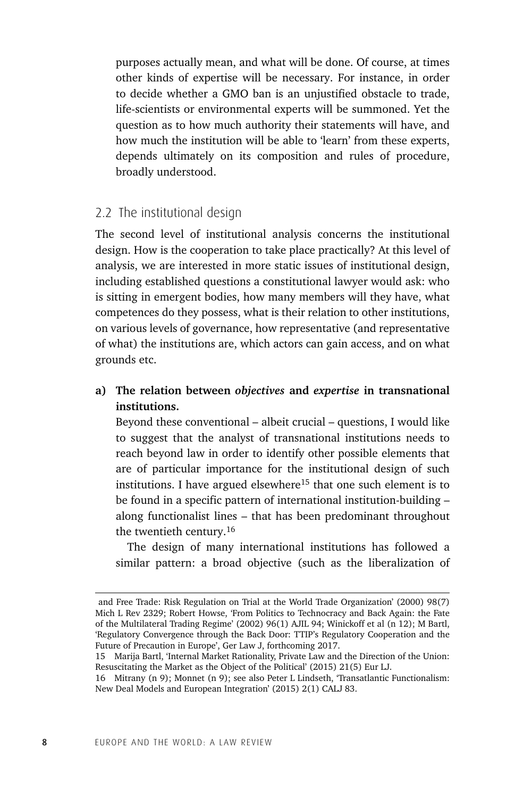purposes actually mean, and what will be done. Of course, at times other kinds of expertise will be necessary. For instance, in order to decide whether a GMO ban is an unjustified obstacle to trade, life-scientists or environmental experts will be summoned. Yet the question as to how much authority their statements will have, and how much the institution will be able to 'learn' from these experts, depends ultimately on its composition and rules of procedure, broadly understood.

### 2.2 The institutional design

The second level of institutional analysis concerns the institutional design. How is the cooperation to take place practically? At this level of analysis, we are interested in more static issues of institutional design, including established questions a constitutional lawyer would ask: who is sitting in emergent bodies, how many members will they have, what competences do they possess, what is their relation to other institutions, on various levels of governance, how representative (and representative of what) the institutions are, which actors can gain access, and on what grounds etc.

### **a) The relation between** *objectives* **and** *expertise* **in transnational institutions.**

 Beyond these conventional – albeit crucial – questions, I would like to suggest that the analyst of transnational institutions needs to reach beyond law in order to identify other possible elements that are of particular importance for the institutional design of such institutions. I have argued elsewhere<sup>15</sup> that one such element is to be found in a specific pattern of international institution-building – along functionalist lines – that has been predominant throughout the twentieth century.16

 The design of many international institutions has followed a similar pattern: a broad objective (such as the liberalization of

and Free Trade: Risk Regulation on Trial at the World Trade Organization' (2000) 98(7) Mich L Rev 2329; Robert Howse, 'From Politics to Technocracy and Back Again: the Fate of the Multilateral Trading Regime' (2002) 96(1) AJIL 94; Winickoff et al (n 12); M Bartl, 'Regulatory Convergence through the Back Door: TTIP's Regulatory Cooperation and the Future of Precaution in Europe', Ger Law J, forthcoming 2017.

<sup>15</sup> Marija Bartl, 'Internal Market Rationality, Private Law and the Direction of the Union: Resuscitating the Market as the Object of the Political' (2015) 21(5) Eur LJ.

<sup>16</sup> Mitrany (n 9); Monnet (n 9); see also Peter L Lindseth, 'Transatlantic Functionalism: New Deal Models and European Integration' (2015) 2(1) CALJ 83.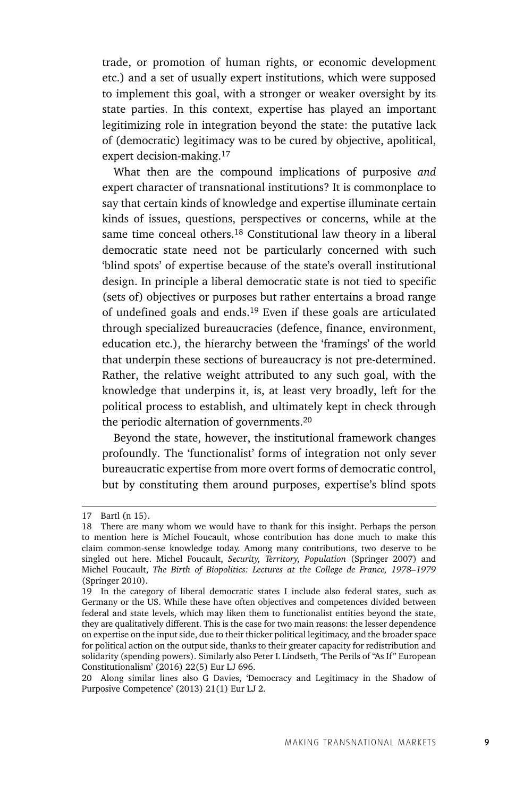trade, or promotion of human rights, or economic development etc.) and a set of usually expert institutions, which were supposed to implement this goal, with a stronger or weaker oversight by its state parties. In this context, expertise has played an important legitimizing role in integration beyond the state: the putative lack of (democratic) legitimacy was to be cured by objective, apolitical, expert decision-making.17

 What then are the compound implications of purposive *and* expert character of transnational institutions? It is commonplace to say that certain kinds of knowledge and expertise illuminate certain kinds of issues, questions, perspectives or concerns, while at the same time conceal others.18 Constitutional law theory in a liberal democratic state need not be particularly concerned with such 'blind spots' of expertise because of the state's overall institutional design. In principle a liberal democratic state is not tied to specific (sets of) objectives or purposes but rather entertains a broad range of undefined goals and ends.19 Even if these goals are articulated through specialized bureaucracies (defence, finance, environment, education etc.), the hierarchy between the 'framings' of the world that underpin these sections of bureaucracy is not pre-determined. Rather, the relative weight attributed to any such goal, with the knowledge that underpins it, is, at least very broadly, left for the political process to establish, and ultimately kept in check through the periodic alternation of governments.20

 Beyond the state, however, the institutional framework changes profoundly. The 'functionalist' forms of integration not only sever bureaucratic expertise from more overt forms of democratic control, but by constituting them around purposes, expertise's blind spots

<sup>17</sup> Bartl (n 15).

<sup>18</sup> There are many whom we would have to thank for this insight. Perhaps the person to mention here is Michel Foucault, whose contribution has done much to make this claim common-sense knowledge today. Among many contributions, two deserve to be singled out here. Michel Foucault, *Security, Territory, Population* (Springer 2007) and Michel Foucault, *The Birth of Biopolitics: Lectures at the College de France, 1978–1979* (Springer 2010).

<sup>19</sup> In the category of liberal democratic states I include also federal states, such as Germany or the US. While these have often objectives and competences divided between federal and state levels, which may liken them to functionalist entities beyond the state, they are qualitatively different. This is the case for two main reasons: the lesser dependence on expertise on the input side, due to their thicker political legitimacy, and the broader space for political action on the output side, thanks to their greater capacity for redistribution and solidarity (spending powers). Similarly also Peter L Lindseth, 'The Perils of "As If" European Constitutionalism' (2016) 22(5) Eur LJ 696.

<sup>20</sup> Along similar lines also G Davies, 'Democracy and Legitimacy in the Shadow of Purposive Competence' (2013) 21(1) Eur LJ 2.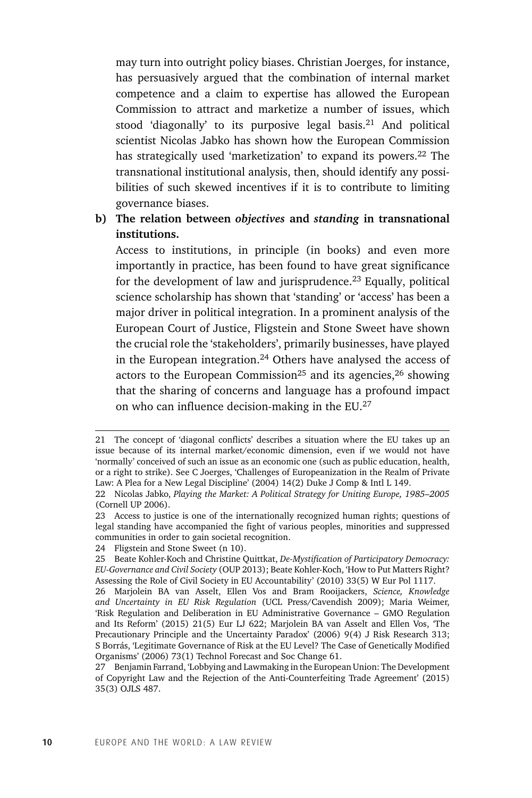may turn into outright policy biases. Christian Joerges, for instance, has persuasively argued that the combination of internal market competence and a claim to expertise has allowed the European Commission to attract and marketize a number of issues, which stood 'diagonally' to its purposive legal basis.<sup>21</sup> And political scientist Nicolas Jabko has shown how the European Commission has strategically used 'marketization' to expand its powers.<sup>22</sup> The transnational institutional analysis, then, should identify any possibilities of such skewed incentives if it is to contribute to limiting governance biases.

### **b) The relation between** *objectives* **and** *standing* **in transnational institutions.**

 Access to institutions, in principle (in books) and even more importantly in practice, has been found to have great significance for the development of law and jurisprudence.23 Equally, political science scholarship has shown that 'standing' or 'access' has been a major driver in political integration. In a prominent analysis of the European Court of Justice, Fligstein and Stone Sweet have shown the crucial role the 'stakeholders', primarily businesses, have played in the European integration.<sup>24</sup> Others have analysed the access of actors to the European Commission<sup>25</sup> and its agencies,  $26$  showing that the sharing of concerns and language has a profound impact on who can influence decision-making in the EU.27

24 Fligstein and Stone Sweet (n 10).

<sup>21</sup> The concept of 'diagonal conflicts' describes a situation where the EU takes up an issue because of its internal market/economic dimension, even if we would not have 'normally' conceived of such an issue as an economic one (such as public education, health, or a right to strike). See C Joerges, 'Challenges of Europeanization in the Realm of Private Law: A Plea for a New Legal Discipline' (2004) 14(2) Duke J Comp & Intl L 149.

<sup>22</sup> Nicolas Jabko, *Playing the Market: A Political Strategy for Uniting Europe, 1985–2005* (Cornell UP 2006).

<sup>23</sup> Access to justice is one of the internationally recognized human rights; questions of legal standing have accompanied the fight of various peoples, minorities and suppressed communities in order to gain societal recognition.

<sup>25</sup> Beate Kohler-Koch and Christine Quittkat, *De-Mystification of Participatory Democracy: EU-Governance and Civil Society* (OUP 2013); Beate Kohler-Koch, 'How to Put Matters Right? Assessing the Role of Civil Society in EU Accountability' (2010) 33(5) W Eur Pol 1117.

<sup>26</sup> Marjolein BA van Asselt, Ellen Vos and Bram Rooijackers, *Science, Knowledge and Uncertainty in EU Risk Regulation* (UCL Press/Cavendish 2009); Maria Weimer, 'Risk Regulation and Deliberation in EU Administrative Governance – GMO Regulation and Its Reform' (2015) 21(5) Eur LJ 622; Marjolein BA van Asselt and Ellen Vos, 'The Precautionary Principle and the Uncertainty Paradox' (2006) 9(4) J Risk Research 313; S Borrás, 'Legitimate Governance of Risk at the EU Level? The Case of Genetically Modified Organisms' (2006) 73(1) Technol Forecast and Soc Change 61.

<sup>27</sup> Benjamin Farrand, 'Lobbying and Lawmaking in the European Union: The Development of Copyright Law and the Rejection of the Anti-Counterfeiting Trade Agreement' (2015) 35(3) OJLS 487.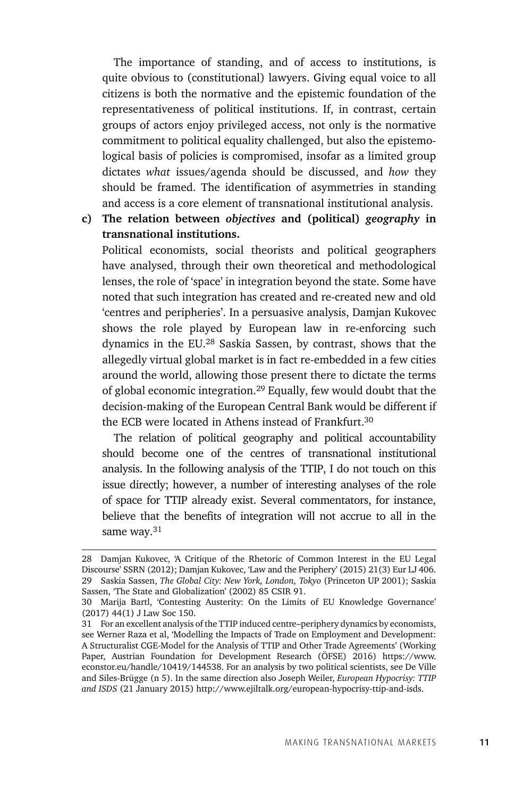The importance of standing, and of access to institutions, is quite obvious to (constitutional) lawyers. Giving equal voice to all citizens is both the normative and the epistemic foundation of the representativeness of political institutions. If, in contrast, certain groups of actors enjoy privileged access, not only is the normative commitment to political equality challenged, but also the epistemological basis of policies is compromised, insofar as a limited group dictates *what* issues/agenda should be discussed, and *how* they should be framed. The identification of asymmetries in standing and access is a core element of transnational institutional analysis.

**c) The relation between** *objectives* **and (political)** *geography* **in transnational institutions.**

 Political economists, social theorists and political geographers have analysed, through their own theoretical and methodological lenses, the role of 'space' in integration beyond the state. Some have noted that such integration has created and re-created new and old 'centres and peripheries'. In a persuasive analysis, Damjan Kukovec shows the role played by European law in re-enforcing such dynamics in the EU.28 Saskia Sassen, by contrast, shows that the allegedly virtual global market is in fact re-embedded in a few cities around the world, allowing those present there to dictate the terms of global economic integration.29 Equally, few would doubt that the decision-making of the European Central Bank would be different if the ECB were located in Athens instead of Frankfurt.30

 The relation of political geography and political accountability should become one of the centres of transnational institutional analysis. In the following analysis of the TTIP, I do not touch on this issue directly; however, a number of interesting analyses of the role of space for TTIP already exist. Several commentators, for instance, believe that the benefits of integration will not accrue to all in the same way.<sup>31</sup>

<sup>28</sup> Damjan Kukovec, 'A Critique of the Rhetoric of Common Interest in the EU Legal Discourse' SSRN (2012); Damjan Kukovec, 'Law and the Periphery' (2015) 21(3) Eur LJ 406. 29 Saskia Sassen, *The Global City: New York, London, Tokyo* (Princeton UP 2001); Saskia Sassen, 'The State and Globalization' (2002) 85 CSIR 91.

<sup>30</sup> Marija Bartl, 'Contesting Austerity: On the Limits of EU Knowledge Governance' (2017) 44(1) J Law Soc 150.

<sup>31</sup> For an excellent analysis of the TTIP induced centre–periphery dynamics by economists, see Werner Raza et al, 'Modelling the Impacts of Trade on Employment and Development: A Structuralist CGE-Model for the Analysis of TTIP and Other Trade Agreements' (Working Paper, Austrian Foundation for Development Research (ÖFSE) 2016) https://www. econstor.eu/handle/10419/144538. For an analysis by two political scientists, see De Ville and Siles-Brügge (n 5). In the same direction also Joseph Weiler, *European Hypocrisy: TTIP and ISDS* (21 January 2015) http://www.ejiltalk.org/european-hypocrisy-ttip-and-isds.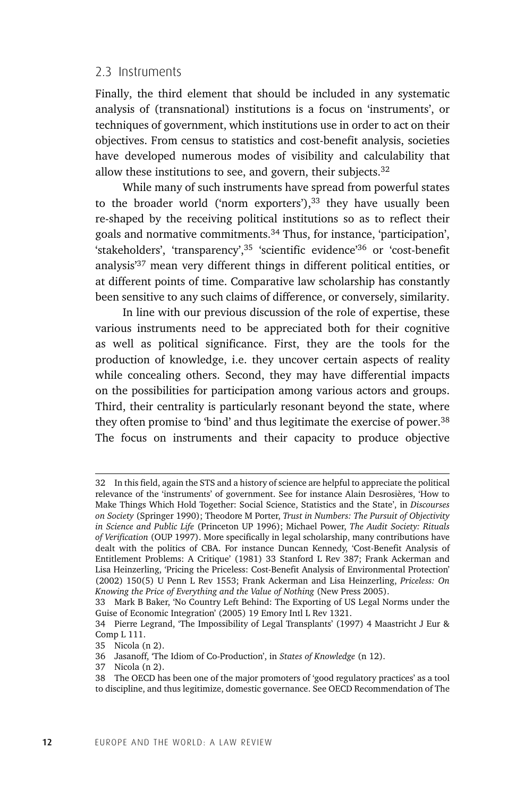#### 2.3 Instruments

Finally, the third element that should be included in any systematic analysis of (transnational) institutions is a focus on 'instruments', or techniques of government, which institutions use in order to act on their objectives. From census to statistics and cost-benefit analysis, societies have developed numerous modes of visibility and calculability that allow these institutions to see, and govern, their subjects. $32$ 

While many of such instruments have spread from powerful states to the broader world ('norm exporters'), $33$  they have usually been re-shaped by the receiving political institutions so as to reflect their goals and normative commitments.34 Thus, for instance, 'participation', 'stakeholders', 'transparency',35 'scientific evidence'36 or 'cost-benefit analysis'37 mean very different things in different political entities, or at different points of time. Comparative law scholarship has constantly been sensitive to any such claims of difference, or conversely, similarity.

In line with our previous discussion of the role of expertise, these various instruments need to be appreciated both for their cognitive as well as political significance. First, they are the tools for the production of knowledge, i.e. they uncover certain aspects of reality while concealing others. Second, they may have differential impacts on the possibilities for participation among various actors and groups. Third, their centrality is particularly resonant beyond the state, where they often promise to 'bind' and thus legitimate the exercise of power.38 The focus on instruments and their capacity to produce objective

<sup>32</sup> In this field, again the STS and a history of science are helpful to appreciate the political relevance of the 'instruments' of government. See for instance Alain Desrosières, 'How to Make Things Which Hold Together: Social Science, Statistics and the State', in *Discourses on Society* (Springer 1990); Theodore M Porter, *Trust in Numbers: The Pursuit of Objectivity in Science and Public Life* (Princeton UP 1996); Michael Power, *The Audit Society: Rituals of Verification* (OUP 1997). More specifically in legal scholarship, many contributions have dealt with the politics of CBA. For instance Duncan Kennedy, 'Cost-Benefit Analysis of Entitlement Problems: A Critique' (1981) 33 Stanford L Rev 387; Frank Ackerman and Lisa Heinzerling, 'Pricing the Priceless: Cost-Benefit Analysis of Environmental Protection' (2002) 150(5) U Penn L Rev 1553; Frank Ackerman and Lisa Heinzerling, *Priceless: On Knowing the Price of Everything and the Value of Nothing* (New Press 2005).

<sup>33</sup> Mark B Baker, 'No Country Left Behind: The Exporting of US Legal Norms under the Guise of Economic Integration' (2005) 19 Emory Intl L Rev 1321.

<sup>34</sup> Pierre Legrand, 'The Impossibility of Legal Transplants' (1997) 4 Maastricht J Eur & Comp L 111.

<sup>35</sup> Nicola (n 2).

<sup>36</sup> Jasanoff, 'The Idiom of Co-Production', in *States of Knowledge* (n 12).

<sup>37</sup> Nicola (n 2).

<sup>38</sup> The OECD has been one of the major promoters of 'good regulatory practices' as a tool to discipline, and thus legitimize, domestic governance. See OECD Recommendation of The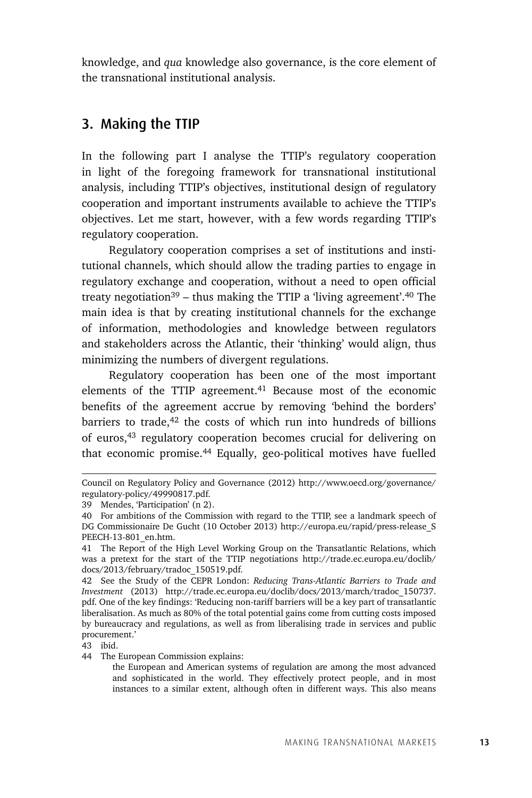knowledge, and *qua* knowledge also governance, is the core element of the transnational institutional analysis.

### 3. Making the TTIP

In the following part I analyse the TTIP's regulatory cooperation in light of the foregoing framework for transnational institutional analysis, including TTIP's objectives, institutional design of regulatory cooperation and important instruments available to achieve the TTIP's objectives. Let me start, however, with a few words regarding TTIP's regulatory cooperation.

Regulatory cooperation comprises a set of institutions and institutional channels, which should allow the trading parties to engage in regulatory exchange and cooperation, without a need to open official treaty negotiation<sup>39</sup> – thus making the TTIP a 'living agreement'.<sup>40</sup> The main idea is that by creating institutional channels for the exchange of information, methodologies and knowledge between regulators and stakeholders across the Atlantic, their 'thinking' would align, thus minimizing the numbers of divergent regulations.

Regulatory cooperation has been one of the most important elements of the TTIP agreement.<sup>41</sup> Because most of the economic benefits of the agreement accrue by removing 'behind the borders' barriers to trade,<sup>42</sup> the costs of which run into hundreds of billions of euros,43 regulatory cooperation becomes crucial for delivering on that economic promise.44 Equally, geo-political motives have fuelled

Council on Regulatory Policy and Governance (2012) http://www.oecd.org/governance/ regulatory-policy/49990817.pdf.

<sup>39</sup> Mendes, 'Participation' (n 2).

<sup>40</sup> For ambitions of the Commission with regard to the TTIP, see a landmark speech of DG Commissionaire De Gucht (10 October 2013) http://europa.eu/rapid/press-release\_S PEECH-13-801\_en.htm.

<sup>41</sup> The Report of the High Level Working Group on the Transatlantic Relations, which was a pretext for the start of the TTIP negotiations http://trade.ec.europa.eu/doclib/ docs/2013/february/tradoc\_150519.pdf.

<sup>42</sup> See the Study of the CEPR London: *Reducing Trans-Atlantic Barriers to Trade and Investment* (2013) http://trade.ec.europa.eu/doclib/docs/2013/march/tradoc\_150737. pdf. One of the key findings: 'Reducing non-tariff barriers will be a key part of transatlantic liberalisation. As much as 80% of the total potential gains come from cutting costs imposed by bureaucracy and regulations, as well as from liberalising trade in services and public procurement.'

<sup>43</sup> ibid.

<sup>44</sup> The European Commission explains:

the European and American systems of regulation are among the most advanced and sophisticated in the world. They effectively protect people, and in most instances to a similar extent, although often in different ways. This also means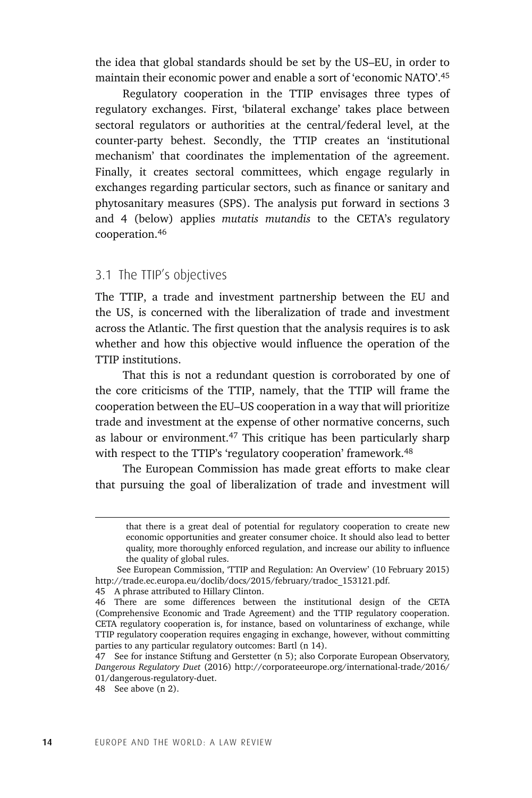the idea that global standards should be set by the US–EU, in order to maintain their economic power and enable a sort of 'economic NATO'.45

Regulatory cooperation in the TTIP envisages three types of regulatory exchanges. First, 'bilateral exchange' takes place between sectoral regulators or authorities at the central/federal level, at the counter-party behest. Secondly, the TTIP creates an 'institutional mechanism' that coordinates the implementation of the agreement. Finally, it creates sectoral committees, which engage regularly in exchanges regarding particular sectors, such as finance or sanitary and phytosanitary measures (SPS). The analysis put forward in sections 3 and 4 (below) applies *mutatis mutandis* to the CETA's regulatory cooperation.46

### 3.1 The TTIP's objectives

The TTIP, a trade and investment partnership between the EU and the US, is concerned with the liberalization of trade and investment across the Atlantic. The first question that the analysis requires is to ask whether and how this objective would influence the operation of the TTIP institutions.

That this is not a redundant question is corroborated by one of the core criticisms of the TTIP, namely, that the TTIP will frame the cooperation between the EU–US cooperation in a way that will prioritize trade and investment at the expense of other normative concerns, such as labour or environment.<sup>47</sup> This critique has been particularly sharp with respect to the TTIP's 'regulatory cooperation' framework.<sup>48</sup>

The European Commission has made great efforts to make clear that pursuing the goal of liberalization of trade and investment will

that there is a great deal of potential for regulatory cooperation to create new economic opportunities and greater consumer choice. It should also lead to better quality, more thoroughly enforced regulation, and increase our ability to influence the quality of global rules.

See European Commission, 'TTIP and Regulation: An Overview' (10 February 2015) http://trade.ec.europa.eu/doclib/docs/2015/february/tradoc\_153121.pdf.

<sup>45</sup> A phrase attributed to Hillary Clinton.

<sup>46</sup> There are some differences between the institutional design of the CETA (Comprehensive Economic and Trade Agreement) and the TTIP regulatory cooperation. CETA regulatory cooperation is, for instance, based on voluntariness of exchange, while TTIP regulatory cooperation requires engaging in exchange, however, without committing parties to any particular regulatory outcomes: Bartl (n 14).

<sup>47</sup> See for instance Stiftung and Gerstetter (n 5); also Corporate European Observatory, *Dangerous Regulatory Duet* (2016) http://corporateeurope.org/international-trade/2016/ 01/dangerous-regulatory-duet.

<sup>48</sup> See above (n 2).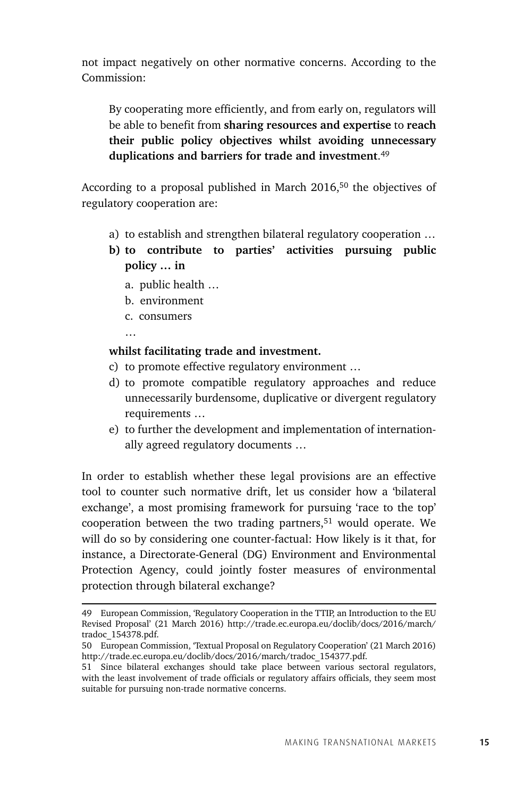not impact negatively on other normative concerns. According to the Commission:

By cooperating more efficiently, and from early on, regulators will be able to benefit from **sharing resources and expertise** to **reach their public policy objectives whilst avoiding unnecessary duplications and barriers for trade and investment**. 49

According to a proposal published in March 2016,50 the objectives of regulatory cooperation are:

- a) to establish and strengthen bilateral regulatory cooperation …
- **b) to contribute to parties' activities pursuing public policy … in**
	- a. public health …
	- b. environment
	- c. consumers

…

#### **whilst facilitating trade and investment.**

- c) to promote effective regulatory environment …
- d) to promote compatible regulatory approaches and reduce unnecessarily burdensome, duplicative or divergent regulatory requirements …
- e) to further the development and implementation of internationally agreed regulatory documents …

In order to establish whether these legal provisions are an effective tool to counter such normative drift, let us consider how a 'bilateral exchange', a most promising framework for pursuing 'race to the top' cooperation between the two trading partners, $51$  would operate. We will do so by considering one counter-factual: How likely is it that, for instance, a Directorate-General (DG) Environment and Environmental Protection Agency, could jointly foster measures of environmental protection through bilateral exchange?

<sup>49</sup> European Commission, 'Regulatory Cooperation in the TTIP, an Introduction to the EU Revised Proposal' (21 March 2016) http://trade.ec.europa.eu/doclib/docs/2016/march/ tradoc\_154378.pdf.

<sup>50</sup> European Commission, 'Textual Proposal on Regulatory Cooperation' (21 March 2016) http://trade.ec.europa.eu/doclib/docs/2016/march/tradoc\_154377.pdf.

<sup>51</sup> Since bilateral exchanges should take place between various sectoral regulators, with the least involvement of trade officials or regulatory affairs officials, they seem most suitable for pursuing non-trade normative concerns.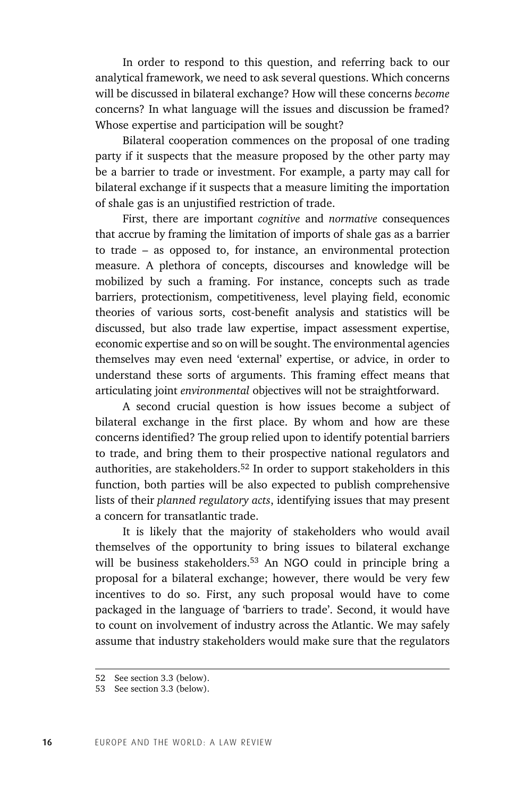In order to respond to this question, and referring back to our analytical framework, we need to ask several questions. Which concerns will be discussed in bilateral exchange? How will these concerns *become* concerns? In what language will the issues and discussion be framed? Whose expertise and participation will be sought?

Bilateral cooperation commences on the proposal of one trading party if it suspects that the measure proposed by the other party may be a barrier to trade or investment. For example, a party may call for bilateral exchange if it suspects that a measure limiting the importation of shale gas is an unjustified restriction of trade.

First, there are important *cognitive* and *normative* consequences that accrue by framing the limitation of imports of shale gas as a barrier to trade – as opposed to, for instance, an environmental protection measure. A plethora of concepts, discourses and knowledge will be mobilized by such a framing. For instance, concepts such as trade barriers, protectionism, competitiveness, level playing field, economic theories of various sorts, cost-benefit analysis and statistics will be discussed, but also trade law expertise, impact assessment expertise, economic expertise and so on will be sought. The environmental agencies themselves may even need 'external' expertise, or advice, in order to understand these sorts of arguments. This framing effect means that articulating joint *environmental* objectives will not be straightforward.

A second crucial question is how issues become a subject of bilateral exchange in the first place. By whom and how are these concerns identified? The group relied upon to identify potential barriers to trade, and bring them to their prospective national regulators and authorities, are stakeholders.52 In order to support stakeholders in this function, both parties will be also expected to publish comprehensive lists of their *planned regulatory acts*, identifying issues that may present a concern for transatlantic trade.

It is likely that the majority of stakeholders who would avail themselves of the opportunity to bring issues to bilateral exchange will be business stakeholders.<sup>53</sup> An NGO could in principle bring a proposal for a bilateral exchange; however, there would be very few incentives to do so. First, any such proposal would have to come packaged in the language of 'barriers to trade'. Second, it would have to count on involvement of industry across the Atlantic. We may safely assume that industry stakeholders would make sure that the regulators

<sup>52</sup> See section 3.3 (below).

<sup>53</sup> See section 3.3 (below).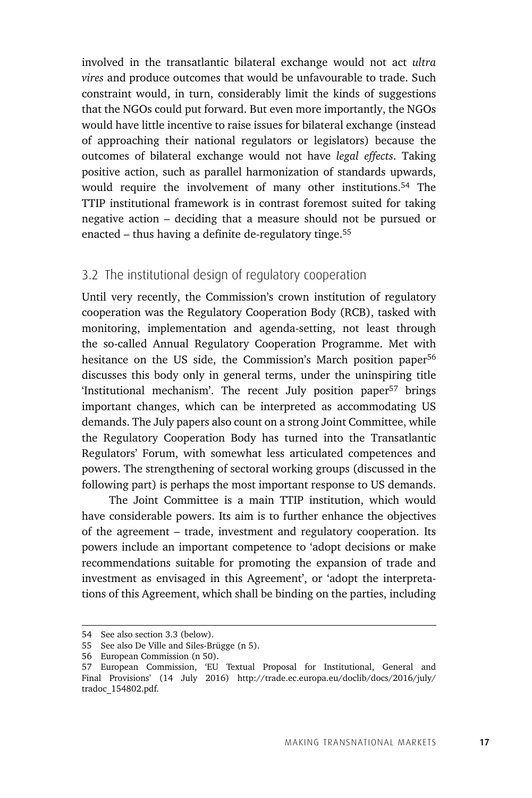involved in the transatlantic bilateral exchange would not act *ultra vires* and produce outcomes that would be unfavourable to trade. Such constraint would, in turn, considerably limit the kinds of suggestions that the NGOs could put forward. But even more importantly, the NGOs would have little incentive to raise issues for bilateral exchange (instead of approaching their national regulators or legislators) because the outcomes of bilateral exchange would not have *legal effects*. Taking positive action, such as parallel harmonization of standards upwards, would require the involvement of many other institutions.54 The TTIP institutional framework is in contrast foremost suited for taking negative action – deciding that a measure should not be pursued or enacted – thus having a definite de-regulatory tinge.55

### 3.2 The institutional design of regulatory cooperation

Until very recently, the Commission's crown institution of regulatory cooperation was the Regulatory Cooperation Body (RCB), tasked with monitoring, implementation and agenda-setting, not least through the so-called Annual Regulatory Cooperation Programme. Met with hesitance on the US side, the Commission's March position paper<sup>56</sup> discusses this body only in general terms, under the uninspiring title 'Institutional mechanism'. The recent July position paper<sup>57</sup> brings important changes, which can be interpreted as accommodating US demands. The July papers also count on a strong Joint Committee, while the Regulatory Cooperation Body has turned into the Transatlantic Regulators' Forum, with somewhat less articulated competences and powers. The strengthening of sectoral working groups (discussed in the following part) is perhaps the most important response to US demands.

The Joint Committee is a main TTIP institution, which would have considerable powers. Its aim is to further enhance the objectives of the agreement – trade, investment and regulatory cooperation. Its powers include an important competence to 'adopt decisions or make recommendations suitable for promoting the expansion of trade and investment as envisaged in this Agreement', or 'adopt the interpretations of this Agreement, which shall be binding on the parties, including

<sup>54</sup> See also section 3.3 (below).

<sup>55</sup> See also De Ville and Siles-Brügge (n 5).

<sup>56</sup> European Commission (n 50).

<sup>57</sup> European Commission, 'EU Textual Proposal for Institutional, General and Final Provisions' (14 July 2016) http://trade.ec.europa.eu/doclib/docs/2016/july/ tradoc\_154802.pdf.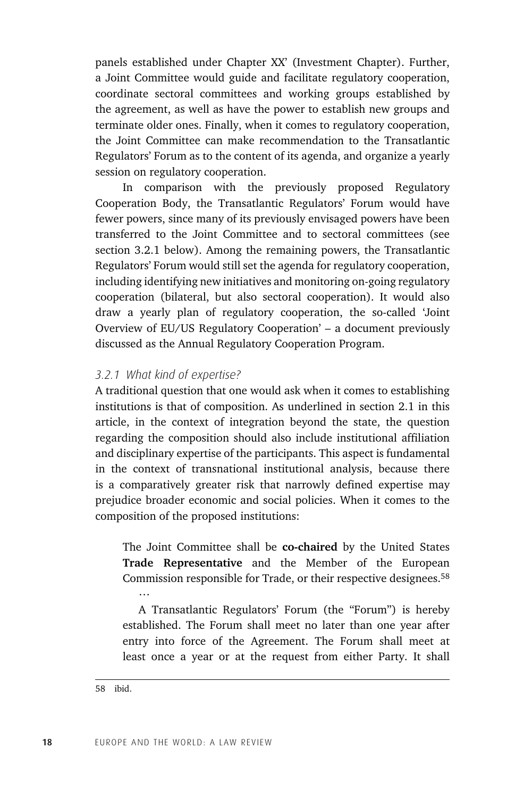panels established under Chapter XX' (Investment Chapter). Further, a Joint Committee would guide and facilitate regulatory cooperation, coordinate sectoral committees and working groups established by the agreement, as well as have the power to establish new groups and terminate older ones. Finally, when it comes to regulatory cooperation, the Joint Committee can make recommendation to the Transatlantic Regulators' Forum as to the content of its agenda, and organize a yearly session on regulatory cooperation.

In comparison with the previously proposed Regulatory Cooperation Body, the Transatlantic Regulators' Forum would have fewer powers, since many of its previously envisaged powers have been transferred to the Joint Committee and to sectoral committees (see section 3.2.1 below). Among the remaining powers, the Transatlantic Regulators' Forum would still set the agenda for regulatory cooperation, including identifying new initiatives and monitoring on-going regulatory cooperation (bilateral, but also sectoral cooperation). It would also draw a yearly plan of regulatory cooperation, the so-called 'Joint Overview of EU/US Regulatory Cooperation' – a document previously discussed as the Annual Regulatory Cooperation Program.

#### *3.2.1 What kind of expertise?*

A traditional question that one would ask when it comes to establishing institutions is that of composition. As underlined in section 2.1 in this article, in the context of integration beyond the state, the question regarding the composition should also include institutional affiliation and disciplinary expertise of the participants. This aspect is fundamental in the context of transnational institutional analysis, because there is a comparatively greater risk that narrowly defined expertise may prejudice broader economic and social policies. When it comes to the composition of the proposed institutions:

The Joint Committee shall be **co-chaired** by the United States **Trade Representative** and the Member of the European Commission responsible for Trade, or their respective designees.<sup>58</sup> …

A Transatlantic Regulators' Forum (the "Forum") is hereby established. The Forum shall meet no later than one year after entry into force of the Agreement. The Forum shall meet at least once a year or at the request from either Party. It shall

<sup>58</sup> ibid.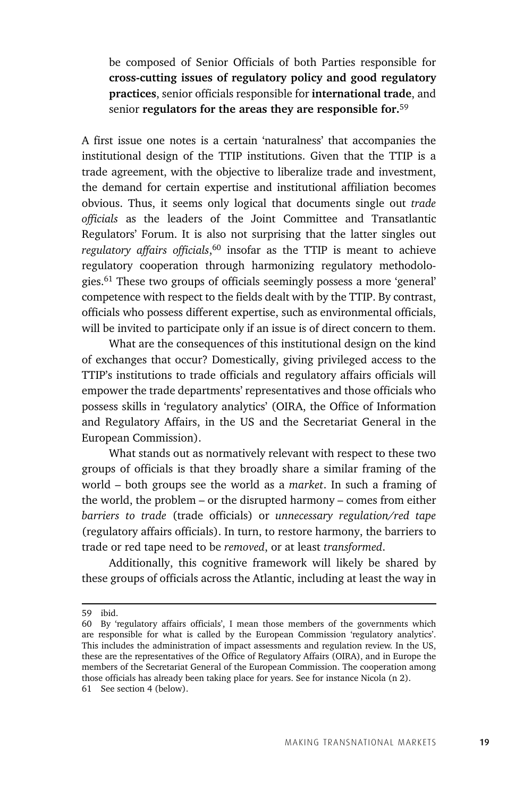be composed of Senior Officials of both Parties responsible for **cross-cutting issues of regulatory policy and good regulatory practices**, senior officials responsible for **international trade**, and senior **regulators for the areas they are responsible for.**<sup>59</sup>

A first issue one notes is a certain 'naturalness' that accompanies the institutional design of the TTIP institutions. Given that the TTIP is a trade agreement, with the objective to liberalize trade and investment, the demand for certain expertise and institutional affiliation becomes obvious. Thus, it seems only logical that documents single out *trade officials* as the leaders of the Joint Committee and Transatlantic Regulators' Forum. It is also not surprising that the latter singles out *regulatory affairs officials*, 60 insofar as the TTIP is meant to achieve regulatory cooperation through harmonizing regulatory methodologies.61 These two groups of officials seemingly possess a more 'general' competence with respect to the fields dealt with by the TTIP. By contrast, officials who possess different expertise, such as environmental officials, will be invited to participate only if an issue is of direct concern to them.

What are the consequences of this institutional design on the kind of exchanges that occur? Domestically, giving privileged access to the TTIP's institutions to trade officials and regulatory affairs officials will empower the trade departments' representatives and those officials who possess skills in 'regulatory analytics' (OIRA, the Office of Information and Regulatory Affairs, in the US and the Secretariat General in the European Commission).

What stands out as normatively relevant with respect to these two groups of officials is that they broadly share a similar framing of the world – both groups see the world as a *market*. In such a framing of the world, the problem – or the disrupted harmony – comes from either *barriers to trade* (trade officials) or *unnecessary regulation/red tape* (regulatory affairs officials). In turn, to restore harmony, the barriers to trade or red tape need to be *removed*, or at least *transformed*.

Additionally, this cognitive framework will likely be shared by these groups of officials across the Atlantic, including at least the way in

<sup>59</sup> ibid.

<sup>60</sup> By 'regulatory affairs officials', I mean those members of the governments which are responsible for what is called by the European Commission 'regulatory analytics'. This includes the administration of impact assessments and regulation review. In the US, these are the representatives of the Office of Regulatory Affairs (OIRA), and in Europe the members of the Secretariat General of the European Commission. The cooperation among those officials has already been taking place for years. See for instance Nicola (n 2).

<sup>61</sup> See section 4 (below).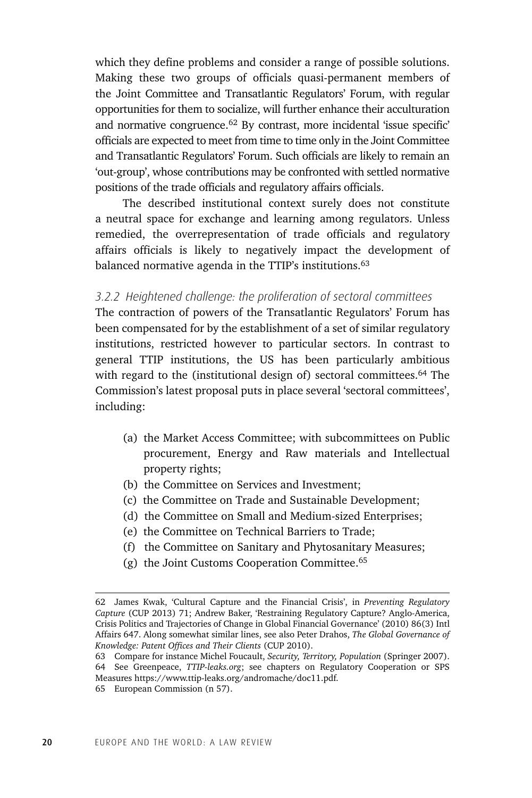which they define problems and consider a range of possible solutions. Making these two groups of officials quasi-permanent members of the Joint Committee and Transatlantic Regulators' Forum, with regular opportunities for them to socialize, will further enhance their acculturation and normative congruence.<sup>62</sup> By contrast, more incidental 'issue specific' officials are expected to meet from time to time only in the Joint Committee and Transatlantic Regulators' Forum. Such officials are likely to remain an 'out-group', whose contributions may be confronted with settled normative positions of the trade officials and regulatory affairs officials.

The described institutional context surely does not constitute a neutral space for exchange and learning among regulators. Unless remedied, the overrepresentation of trade officials and regulatory affairs officials is likely to negatively impact the development of balanced normative agenda in the TTIP's institutions.<sup>63</sup>

#### *3.2.2 Heightened challenge: the proliferation of sectoral committees*

The contraction of powers of the Transatlantic Regulators' Forum has been compensated for by the establishment of a set of similar regulatory institutions, restricted however to particular sectors. In contrast to general TTIP institutions, the US has been particularly ambitious with regard to the (institutional design of) sectoral committees.<sup>64</sup> The Commission's latest proposal puts in place several 'sectoral committees', including:

- (a) the Market Access Committee; with subcommittees on Public procurement, Energy and Raw materials and Intellectual property rights;
- (b) the Committee on Services and Investment;
- (c) the Committee on Trade and Sustainable Development;
- (d) the Committee on Small and Medium-sized Enterprises;
- (e) the Committee on Technical Barriers to Trade;
- (f) the Committee on Sanitary and Phytosanitary Measures;
- (g) the Joint Customs Cooperation Committee.65

<sup>62</sup> James Kwak, 'Cultural Capture and the Financial Crisis', in *Preventing Regulatory Capture* (CUP 2013) 71; Andrew Baker, 'Restraining Regulatory Capture? Anglo-America, Crisis Politics and Trajectories of Change in Global Financial Governance' (2010) 86(3) Intl Affairs 647. Along somewhat similar lines, see also Peter Drahos, *The Global Governance of Knowledge: Patent Offices and Their Clients* (CUP 2010).

<sup>63</sup> Compare for instance Michel Foucault, *Security, Territory, Population* (Springer 2007). 64 See Greenpeace, *TTIP-leaks.org*; see chapters on Regulatory Cooperation or SPS Measures https://www.ttip-leaks.org/andromache/doc11.pdf.

<sup>65</sup> European Commission (n 57).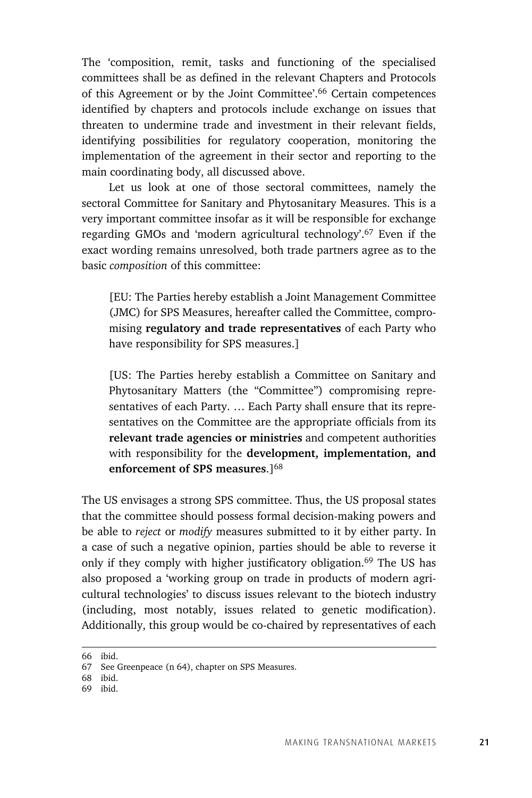The 'composition, remit, tasks and functioning of the specialised committees shall be as defined in the relevant Chapters and Protocols of this Agreement or by the Joint Committee'.66 Certain competences identified by chapters and protocols include exchange on issues that threaten to undermine trade and investment in their relevant fields, identifying possibilities for regulatory cooperation, monitoring the implementation of the agreement in their sector and reporting to the main coordinating body, all discussed above.

Let us look at one of those sectoral committees, namely the sectoral Committee for Sanitary and Phytosanitary Measures. This is a very important committee insofar as it will be responsible for exchange regarding GMOs and 'modern agricultural technology'.67 Even if the exact wording remains unresolved, both trade partners agree as to the basic *composition* of this committee:

[EU: The Parties hereby establish a Joint Management Committee (JMC) for SPS Measures, hereafter called the Committee, compromising **regulatory and trade representatives** of each Party who have responsibility for SPS measures.]

[US: The Parties hereby establish a Committee on Sanitary and Phytosanitary Matters (the "Committee") compromising representatives of each Party. … Each Party shall ensure that its representatives on the Committee are the appropriate officials from its **relevant trade agencies or ministries** and competent authorities with responsibility for the **development, implementation, and enforcement of SPS measures**.]68

The US envisages a strong SPS committee. Thus, the US proposal states that the committee should possess formal decision-making powers and be able to *reject* or *modify* measures submitted to it by either party. In a case of such a negative opinion, parties should be able to reverse it only if they comply with higher justificatory obligation.<sup>69</sup> The US has also proposed a 'working group on trade in products of modern agricultural technologies' to discuss issues relevant to the biotech industry (including, most notably, issues related to genetic modification). Additionally, this group would be co-chaired by representatives of each

<sup>66</sup> ibid.

<sup>67</sup> See Greenpeace (n 64), chapter on SPS Measures.

<sup>68</sup> ibid.

<sup>69</sup> ibid.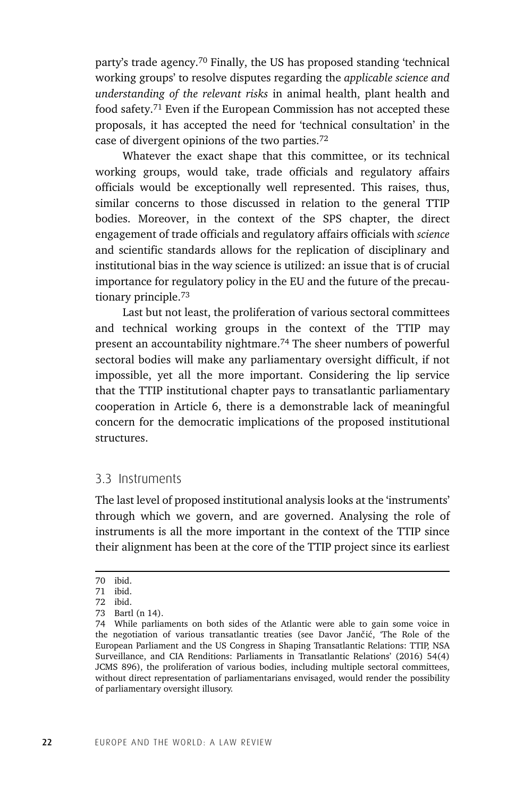party's trade agency.70 Finally, the US has proposed standing 'technical working groups' to resolve disputes regarding the *applicable science and understanding of the relevant risks* in animal health, plant health and food safety.71 Even if the European Commission has not accepted these proposals, it has accepted the need for 'technical consultation' in the case of divergent opinions of the two parties.72

Whatever the exact shape that this committee, or its technical working groups, would take, trade officials and regulatory affairs officials would be exceptionally well represented. This raises, thus, similar concerns to those discussed in relation to the general TTIP bodies. Moreover, in the context of the SPS chapter, the direct engagement of trade officials and regulatory affairs officials with *science* and scientific standards allows for the replication of disciplinary and institutional bias in the way science is utilized: an issue that is of crucial importance for regulatory policy in the EU and the future of the precautionary principle.73

Last but not least, the proliferation of various sectoral committees and technical working groups in the context of the TTIP may present an accountability nightmare.<sup>74</sup> The sheer numbers of powerful sectoral bodies will make any parliamentary oversight difficult, if not impossible, yet all the more important. Considering the lip service that the TTIP institutional chapter pays to transatlantic parliamentary cooperation in Article 6, there is a demonstrable lack of meaningful concern for the democratic implications of the proposed institutional structures.

#### 3.3 Instruments

The last level of proposed institutional analysis looks at the 'instruments' through which we govern, and are governed. Analysing the role of instruments is all the more important in the context of the TTIP since their alignment has been at the core of the TTIP project since its earliest

<sup>70</sup> ibid.

<sup>71</sup> ibid.

<sup>72</sup> ibid.

<sup>73</sup> Bartl (n 14).

<sup>74</sup> While parliaments on both sides of the Atlantic were able to gain some voice in the negotiation of various transatlantic treaties (see Davor Jančić, 'The Role of the European Parliament and the US Congress in Shaping Transatlantic Relations: TTIP, NSA Surveillance, and CIA Renditions: Parliaments in Transatlantic Relations' (2016) 54(4) JCMS 896), the proliferation of various bodies, including multiple sectoral committees, without direct representation of parliamentarians envisaged, would render the possibility of parliamentary oversight illusory.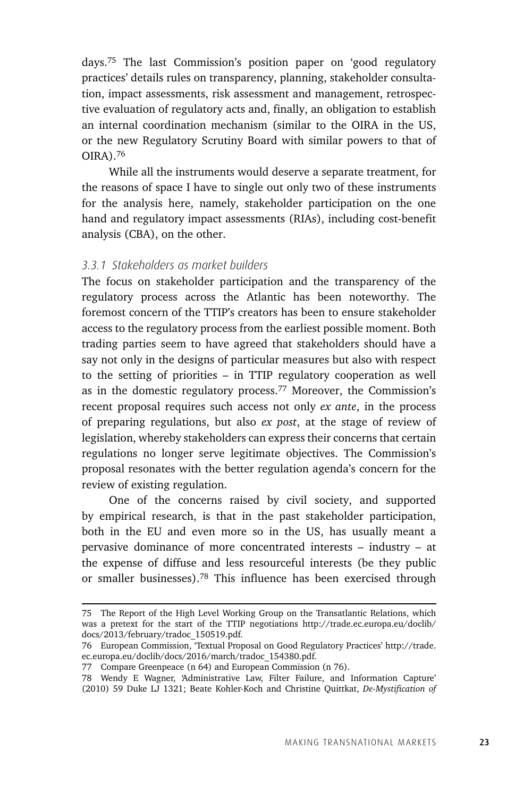days.75 The last Commission's position paper on 'good regulatory practices' details rules on transparency, planning, stakeholder consultation, impact assessments, risk assessment and management, retrospective evaluation of regulatory acts and, finally, an obligation to establish an internal coordination mechanism (similar to the OIRA in the US, or the new Regulatory Scrutiny Board with similar powers to that of OIRA).76

While all the instruments would deserve a separate treatment, for the reasons of space I have to single out only two of these instruments for the analysis here, namely, stakeholder participation on the one hand and regulatory impact assessments (RIAs), including cost-benefit analysis (CBA), on the other.

### *3.3.1 Stakeholders as market builders*

The focus on stakeholder participation and the transparency of the regulatory process across the Atlantic has been noteworthy. The foremost concern of the TTIP's creators has been to ensure stakeholder access to the regulatory process from the earliest possible moment. Both trading parties seem to have agreed that stakeholders should have a say not only in the designs of particular measures but also with respect to the setting of priorities – in TTIP regulatory cooperation as well as in the domestic regulatory process.77 Moreover, the Commission's recent proposal requires such access not only *ex ante*, in the process of preparing regulations, but also *ex post*, at the stage of review of legislation, whereby stakeholders can express their concerns that certain regulations no longer serve legitimate objectives. The Commission's proposal resonates with the better regulation agenda's concern for the review of existing regulation.

One of the concerns raised by civil society, and supported by empirical research, is that in the past stakeholder participation, both in the EU and even more so in the US, has usually meant a pervasive dominance of more concentrated interests – industry – at the expense of diffuse and less resourceful interests (be they public or smaller businesses).78 This influence has been exercised through

<sup>75</sup> The Report of the High Level Working Group on the Transatlantic Relations, which was a pretext for the start of the TTIP negotiations http://trade.ec.europa.eu/doclib/ docs/2013/february/tradoc\_150519.pdf.

<sup>76</sup> European Commission, 'Textual Proposal on Good Regulatory Practices' http://trade. ec.europa.eu/doclib/docs/2016/march/tradoc\_154380.pdf.

<sup>77</sup> Compare Greenpeace (n 64) and European Commission (n 76).

<sup>78</sup> Wendy E Wagner, 'Administrative Law, Filter Failure, and Information Capture' (2010) 59 Duke LJ 1321; Beate Kohler-Koch and Christine Quittkat, *De-Mystification of*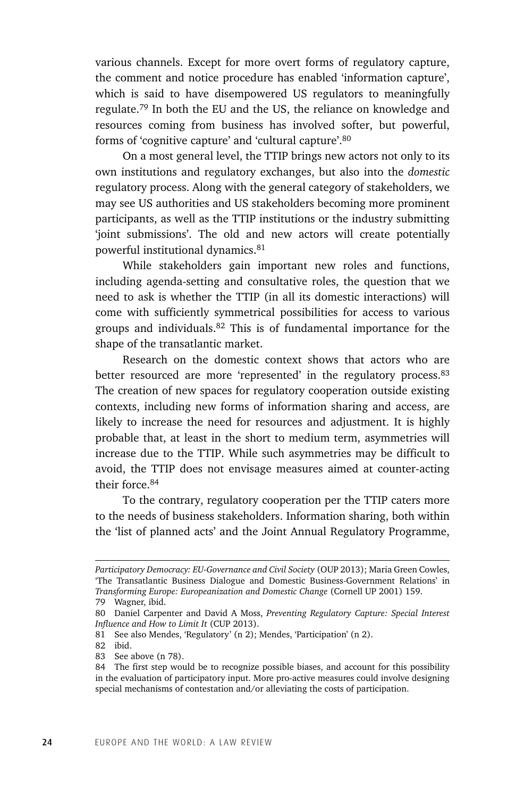various channels. Except for more overt forms of regulatory capture, the comment and notice procedure has enabled 'information capture', which is said to have disempowered US regulators to meaningfully regulate.79 In both the EU and the US, the reliance on knowledge and resources coming from business has involved softer, but powerful, forms of 'cognitive capture' and 'cultural capture'.80

On a most general level, the TTIP brings new actors not only to its own institutions and regulatory exchanges, but also into the *domestic* regulatory process. Along with the general category of stakeholders, we may see US authorities and US stakeholders becoming more prominent participants, as well as the TTIP institutions or the industry submitting 'joint submissions'. The old and new actors will create potentially powerful institutional dynamics.<sup>81</sup>

While stakeholders gain important new roles and functions, including agenda-setting and consultative roles, the question that we need to ask is whether the TTIP (in all its domestic interactions) will come with sufficiently symmetrical possibilities for access to various groups and individuals.82 This is of fundamental importance for the shape of the transatlantic market.

Research on the domestic context shows that actors who are better resourced are more 'represented' in the regulatory process.<sup>83</sup> The creation of new spaces for regulatory cooperation outside existing contexts, including new forms of information sharing and access, are likely to increase the need for resources and adjustment. It is highly probable that, at least in the short to medium term, asymmetries will increase due to the TTIP. While such asymmetries may be difficult to avoid, the TTIP does not envisage measures aimed at counter-acting their force.84

To the contrary, regulatory cooperation per the TTIP caters more to the needs of business stakeholders. Information sharing, both within the 'list of planned acts' and the Joint Annual Regulatory Programme,

*Participatory Democracy: EU-Governance and Civil Society* (OUP 2013); Maria Green Cowles, 'The Transatlantic Business Dialogue and Domestic Business-Government Relations' in *Transforming Europe: Europeanization and Domestic Change* (Cornell UP 2001) 159.

<sup>79</sup> Wagner, ibid.

<sup>80</sup> Daniel Carpenter and David A Moss, *Preventing Regulatory Capture: Special Interest Influence and How to Limit It* (CUP 2013).

<sup>81</sup> See also Mendes, 'Regulatory' (n 2); Mendes, 'Participation' (n 2).

<sup>82</sup> ibid.

<sup>83</sup> See above (n 78).

<sup>84</sup> The first step would be to recognize possible biases, and account for this possibility in the evaluation of participatory input. More pro-active measures could involve designing special mechanisms of contestation and/or alleviating the costs of participation.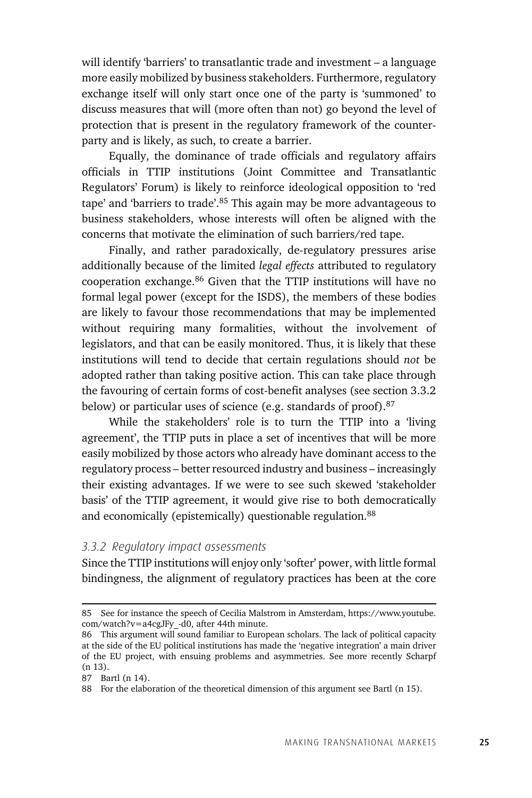will identify 'barriers' to transatlantic trade and investment – a language more easily mobilized by business stakeholders. Furthermore, regulatory exchange itself will only start once one of the party is 'summoned' to discuss measures that will (more often than not) go beyond the level of protection that is present in the regulatory framework of the counterparty and is likely, as such, to create a barrier.

Equally, the dominance of trade officials and regulatory affairs officials in TTIP institutions (Joint Committee and Transatlantic Regulators' Forum) is likely to reinforce ideological opposition to 'red tape' and 'barriers to trade'.85 This again may be more advantageous to business stakeholders, whose interests will often be aligned with the concerns that motivate the elimination of such barriers/red tape.

Finally, and rather paradoxically, de-regulatory pressures arise additionally because of the limited *legal effects* attributed to regulatory cooperation exchange.86 Given that the TTIP institutions will have no formal legal power (except for the ISDS), the members of these bodies are likely to favour those recommendations that may be implemented without requiring many formalities, without the involvement of legislators, and that can be easily monitored. Thus, it is likely that these institutions will tend to decide that certain regulations should *not* be adopted rather than taking positive action. This can take place through the favouring of certain forms of cost-benefit analyses (see section 3.3.2 below) or particular uses of science (e.g. standards of proof).<sup>87</sup>

While the stakeholders' role is to turn the TTIP into a 'living agreement', the TTIP puts in place a set of incentives that will be more easily mobilized by those actors who already have dominant access to the regulatory process – better resourced industry and business – increasingly their existing advantages. If we were to see such skewed 'stakeholder basis' of the TTIP agreement, it would give rise to both democratically and economically (epistemically) questionable regulation.<sup>88</sup>

#### *3.3.2 Regulatory impact assessments*

Since the TTIP institutions will enjoy only 'softer' power, with little formal bindingness, the alignment of regulatory practices has been at the core

<sup>85</sup> See for instance the speech of Cecilia Malstrom in Amsterdam, https://www.youtube.  $com/watch?v = a4cgJFv -d0$ , after 44th minute.

<sup>86</sup> This argument will sound familiar to European scholars. The lack of political capacity at the side of the EU political institutions has made the 'negative integration' a main driver of the EU project, with ensuing problems and asymmetries. See more recently Scharpf (n 13).

<sup>87</sup> Bartl (n 14).

<sup>88</sup> For the elaboration of the theoretical dimension of this argument see Bartl (n 15).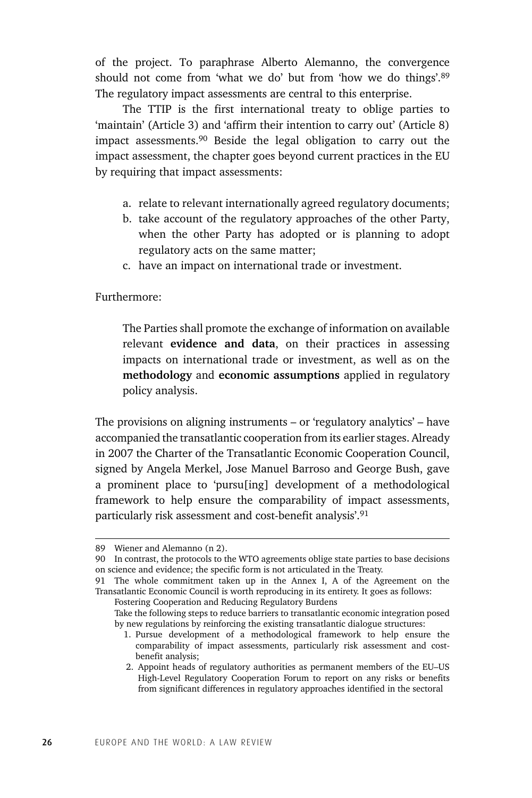of the project. To paraphrase Alberto Alemanno, the convergence should not come from 'what we do' but from 'how we do things'.<sup>89</sup> The regulatory impact assessments are central to this enterprise.

The TTIP is the first international treaty to oblige parties to 'maintain' (Article 3) and 'affirm their intention to carry out' (Article 8) impact assessments.90 Beside the legal obligation to carry out the impact assessment, the chapter goes beyond current practices in the EU by requiring that impact assessments:

- a. relate to relevant internationally agreed regulatory documents;
- b. take account of the regulatory approaches of the other Party, when the other Party has adopted or is planning to adopt regulatory acts on the same matter;
- c. have an impact on international trade or investment.

Furthermore:

The Parties shall promote the exchange of information on available relevant **evidence and data**, on their practices in assessing impacts on international trade or investment, as well as on the **methodology** and **economic assumptions** applied in regulatory policy analysis.

The provisions on aligning instruments – or 'regulatory analytics' – have accompanied the transatlantic cooperation from its earlier stages. Already in 2007 the Charter of the Transatlantic Economic Cooperation Council, signed by Angela Merkel, Jose Manuel Barroso and George Bush, gave a prominent place to 'pursu[ing] development of a methodological framework to help ensure the comparability of impact assessments, particularly risk assessment and cost-benefit analysis'.91

<sup>89</sup> Wiener and Alemanno (n 2).

<sup>90</sup> In contrast, the protocols to the WTO agreements oblige state parties to base decisions on science and evidence; the specific form is not articulated in the Treaty.

<sup>91</sup> The whole commitment taken up in the Annex I, A of the Agreement on the Transatlantic Economic Council is worth reproducing in its entirety. It goes as follows:

Fostering Cooperation and Reducing Regulatory Burdens

Take the following steps to reduce barriers to transatlantic economic integration posed by new regulations by reinforcing the existing transatlantic dialogue structures:

 <sup>1.</sup> Pursue development of a methodological framework to help ensure the comparability of impact assessments, particularly risk assessment and costbenefit analysis;

 <sup>2.</sup> Appoint heads of regulatory authorities as permanent members of the EU–US High-Level Regulatory Cooperation Forum to report on any risks or benefits from significant differences in regulatory approaches identified in the sectoral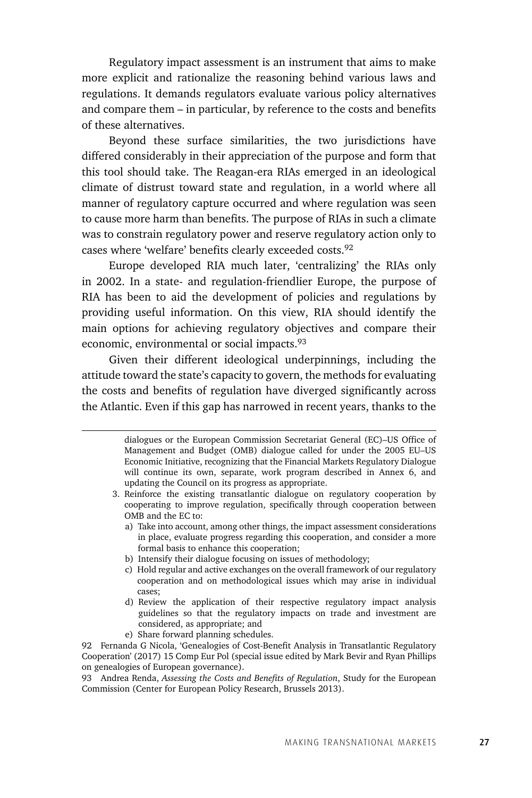Regulatory impact assessment is an instrument that aims to make more explicit and rationalize the reasoning behind various laws and regulations. It demands regulators evaluate various policy alternatives and compare them – in particular, by reference to the costs and benefits of these alternatives.

Beyond these surface similarities, the two jurisdictions have differed considerably in their appreciation of the purpose and form that this tool should take. The Reagan-era RIAs emerged in an ideological climate of distrust toward state and regulation, in a world where all manner of regulatory capture occurred and where regulation was seen to cause more harm than benefits. The purpose of RIAs in such a climate was to constrain regulatory power and reserve regulatory action only to cases where 'welfare' benefits clearly exceeded costs.92

Europe developed RIA much later, 'centralizing' the RIAs only in 2002. In a state- and regulation-friendlier Europe, the purpose of RIA has been to aid the development of policies and regulations by providing useful information. On this view, RIA should identify the main options for achieving regulatory objectives and compare their economic, environmental or social impacts.<sup>93</sup>

Given their different ideological underpinnings, including the attitude toward the state's capacity to govern, the methods for evaluating the costs and benefits of regulation have diverged significantly across the Atlantic. Even if this gap has narrowed in recent years, thanks to the

- b) Intensify their dialogue focusing on issues of methodology;
- c) Hold regular and active exchanges on the overall framework of our regulatory cooperation and on methodological issues which may arise in individual cases;
- d) Review the application of their respective regulatory impact analysis guidelines so that the regulatory impacts on trade and investment are considered, as appropriate; and
- e) Share forward planning schedules.

92 Fernanda G Nicola, 'Genealogies of Cost-Benefit Analysis in Transatlantic Regulatory Cooperation' (2017) 15 Comp Eur Pol (special issue edited by Mark Bevir and Ryan Phillips on genealogies of European governance).

93 Andrea Renda, *Assessing the Costs and Benefits of Regulation*, Study for the European Commission (Center for European Policy Research, Brussels 2013).

 <sup>3.</sup> dialogues or the European Commission Secretariat General (EC)–US Office of Management and Budget (OMB) dialogue called for under the 2005 EU–US Economic Initiative, recognizing that the Financial Markets Regulatory Dialogue will continue its own, separate, work program described in Annex 6, and updating the Council on its progress as appropriate.

 <sup>3.</sup> Reinforce the existing transatlantic dialogue on regulatory cooperation by cooperating to improve regulation, specifically through cooperation between OMB and the EC to:

a) Take into account, among other things, the impact assessment considerations in place, evaluate progress regarding this cooperation, and consider a more formal basis to enhance this cooperation;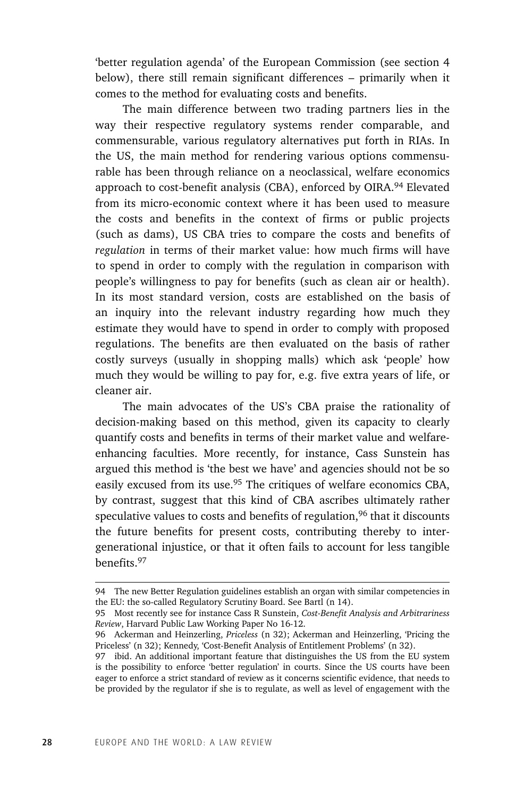'better regulation agenda' of the European Commission (see section 4 below), there still remain significant differences – primarily when it comes to the method for evaluating costs and benefits.

The main difference between two trading partners lies in the way their respective regulatory systems render comparable, and commensurable, various regulatory alternatives put forth in RIAs. In the US, the main method for rendering various options commensurable has been through reliance on a neoclassical, welfare economics approach to cost-benefit analysis (CBA), enforced by OIRA.<sup>94</sup> Elevated from its micro-economic context where it has been used to measure the costs and benefits in the context of firms or public projects (such as dams), US CBA tries to compare the costs and benefits of *regulation* in terms of their market value: how much firms will have to spend in order to comply with the regulation in comparison with people's willingness to pay for benefits (such as clean air or health). In its most standard version, costs are established on the basis of an inquiry into the relevant industry regarding how much they estimate they would have to spend in order to comply with proposed regulations. The benefits are then evaluated on the basis of rather costly surveys (usually in shopping malls) which ask 'people' how much they would be willing to pay for, e.g. five extra years of life, or cleaner air.

The main advocates of the US's CBA praise the rationality of decision-making based on this method, given its capacity to clearly quantify costs and benefits in terms of their market value and welfareenhancing faculties. More recently, for instance, Cass Sunstein has argued this method is 'the best we have' and agencies should not be so easily excused from its use.<sup>95</sup> The critiques of welfare economics CBA, by contrast, suggest that this kind of CBA ascribes ultimately rather speculative values to costs and benefits of regulation,<sup>96</sup> that it discounts the future benefits for present costs, contributing thereby to intergenerational injustice, or that it often fails to account for less tangible benefits.97

<sup>94</sup> The new Better Regulation guidelines establish an organ with similar competencies in the EU: the so-called Regulatory Scrutiny Board. See Bartl (n 14).

<sup>95</sup> Most recently see for instance Cass R Sunstein, *Cost-Benefit Analysis and Arbitrariness Review*, Harvard Public Law Working Paper No 16-12.

<sup>96</sup> Ackerman and Heinzerling, *Priceless* (n 32); Ackerman and Heinzerling, 'Pricing the Priceless' (n 32); Kennedy, 'Cost-Benefit Analysis of Entitlement Problems' (n 32).

<sup>97</sup> ibid. An additional important feature that distinguishes the US from the EU system is the possibility to enforce 'better regulation' in courts. Since the US courts have been eager to enforce a strict standard of review as it concerns scientific evidence, that needs to be provided by the regulator if she is to regulate, as well as level of engagement with the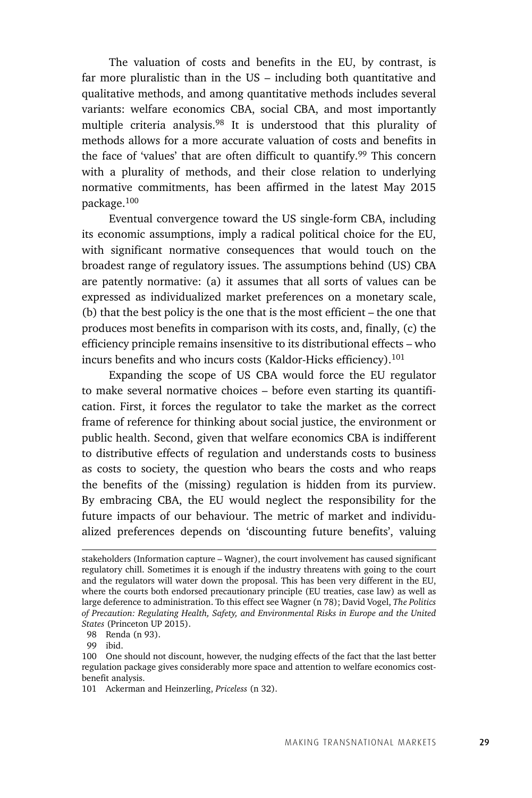The valuation of costs and benefits in the EU, by contrast, is far more pluralistic than in the US – including both quantitative and qualitative methods, and among quantitative methods includes several variants: welfare economics CBA, social CBA, and most importantly multiple criteria analysis.98 It is understood that this plurality of methods allows for a more accurate valuation of costs and benefits in the face of 'values' that are often difficult to quantify.99 This concern with a plurality of methods, and their close relation to underlying normative commitments, has been affirmed in the latest May 2015 package.100

Eventual convergence toward the US single-form CBA, including its economic assumptions, imply a radical political choice for the EU, with significant normative consequences that would touch on the broadest range of regulatory issues. The assumptions behind (US) CBA are patently normative: (a) it assumes that all sorts of values can be expressed as individualized market preferences on a monetary scale, (b) that the best policy is the one that is the most efficient – the one that produces most benefits in comparison with its costs, and, finally, (c) the efficiency principle remains insensitive to its distributional effects – who incurs benefits and who incurs costs (Kaldor-Hicks efficiency).<sup>101</sup>

Expanding the scope of US CBA would force the EU regulator to make several normative choices – before even starting its quantification. First, it forces the regulator to take the market as the correct frame of reference for thinking about social justice, the environment or public health. Second, given that welfare economics CBA is indifferent to distributive effects of regulation and understands costs to business as costs to society, the question who bears the costs and who reaps the benefits of the (missing) regulation is hidden from its purview. By embracing CBA, the EU would neglect the responsibility for the future impacts of our behaviour. The metric of market and individualized preferences depends on 'discounting future benefits', valuing

stakeholders (Information capture – Wagner), the court involvement has caused significant regulatory chill. Sometimes it is enough if the industry threatens with going to the court and the regulators will water down the proposal. This has been very different in the EU, where the courts both endorsed precautionary principle (EU treaties, case law) as well as large deference to administration. To this effect see Wagner (n 78); David Vogel, *The Politics of Precaution: Regulating Health, Safety, and Environmental Risks in Europe and the United States* (Princeton UP 2015).

<sup>98</sup> Renda (n 93).

<sup>99</sup> ibid.

<sup>100</sup> One should not discount, however, the nudging effects of the fact that the last better regulation package gives considerably more space and attention to welfare economics costbenefit analysis.

<sup>101</sup> Ackerman and Heinzerling, *Priceless* (n 32).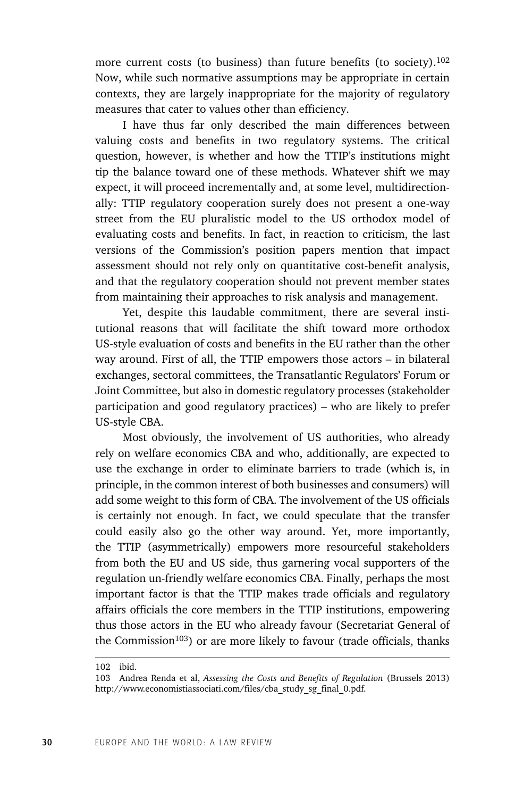more current costs (to business) than future benefits (to society).<sup>102</sup> Now, while such normative assumptions may be appropriate in certain contexts, they are largely inappropriate for the majority of regulatory measures that cater to values other than efficiency.

I have thus far only described the main differences between valuing costs and benefits in two regulatory systems. The critical question, however, is whether and how the TTIP's institutions might tip the balance toward one of these methods. Whatever shift we may expect, it will proceed incrementally and, at some level, multidirectionally: TTIP regulatory cooperation surely does not present a one-way street from the EU pluralistic model to the US orthodox model of evaluating costs and benefits. In fact, in reaction to criticism, the last versions of the Commission's position papers mention that impact assessment should not rely only on quantitative cost-benefit analysis, and that the regulatory cooperation should not prevent member states from maintaining their approaches to risk analysis and management.

Yet, despite this laudable commitment, there are several institutional reasons that will facilitate the shift toward more orthodox US-style evaluation of costs and benefits in the EU rather than the other way around. First of all, the TTIP empowers those actors – in bilateral exchanges, sectoral committees, the Transatlantic Regulators' Forum or Joint Committee, but also in domestic regulatory processes (stakeholder participation and good regulatory practices) – who are likely to prefer US-style CBA.

Most obviously, the involvement of US authorities, who already rely on welfare economics CBA and who, additionally, are expected to use the exchange in order to eliminate barriers to trade (which is, in principle, in the common interest of both businesses and consumers) will add some weight to this form of CBA. The involvement of the US officials is certainly not enough. In fact, we could speculate that the transfer could easily also go the other way around. Yet, more importantly, the TTIP (asymmetrically) empowers more resourceful stakeholders from both the EU and US side, thus garnering vocal supporters of the regulation un-friendly welfare economics CBA. Finally, perhaps the most important factor is that the TTIP makes trade officials and regulatory affairs officials the core members in the TTIP institutions, empowering thus those actors in the EU who already favour (Secretariat General of the Commission<sup>103</sup>) or are more likely to favour (trade officials, thanks

<sup>102</sup> ibid.

<sup>103</sup> Andrea Renda et al, *Assessing the Costs and Benefits of Regulation* (Brussels 2013) http://www.economistiassociati.com/files/cba\_study\_sg\_final\_0.pdf.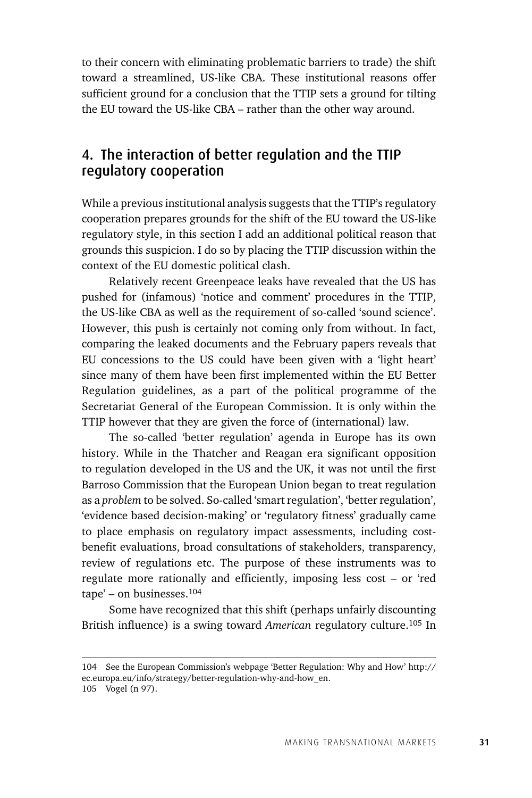to their concern with eliminating problematic barriers to trade) the shift toward a streamlined, US-like CBA. These institutional reasons offer sufficient ground for a conclusion that the TTIP sets a ground for tilting the EU toward the US-like CBA – rather than the other way around.

### 4. The interaction of better regulation and the TTIP regulatory cooperation

While a previous institutional analysis suggests that the TTIP's regulatory cooperation prepares grounds for the shift of the EU toward the US-like regulatory style, in this section I add an additional political reason that grounds this suspicion. I do so by placing the TTIP discussion within the context of the EU domestic political clash.

Relatively recent Greenpeace leaks have revealed that the US has pushed for (infamous) 'notice and comment' procedures in the TTIP, the US-like CBA as well as the requirement of so-called 'sound science'. However, this push is certainly not coming only from without. In fact, comparing the leaked documents and the February papers reveals that EU concessions to the US could have been given with a 'light heart' since many of them have been first implemented within the EU Better Regulation guidelines, as a part of the political programme of the Secretariat General of the European Commission. It is only within the TTIP however that they are given the force of (international) law.

The so-called 'better regulation' agenda in Europe has its own history. While in the Thatcher and Reagan era significant opposition to regulation developed in the US and the UK, it was not until the first Barroso Commission that the European Union began to treat regulation as a *problem* to be solved. So-called 'smart regulation', 'better regulation', 'evidence based decision-making' or 'regulatory fitness' gradually came to place emphasis on regulatory impact assessments, including costbenefit evaluations, broad consultations of stakeholders, transparency, review of regulations etc. The purpose of these instruments was to regulate more rationally and efficiently, imposing less cost – or 'red tape' – on businesses.104

Some have recognized that this shift (perhaps unfairly discounting British influence) is a swing toward *American* regulatory culture.105 In

<sup>104</sup> See the European Commission's webpage 'Better Regulation: Why and How' http:// ec.europa.eu/info/strategy/better-regulation-why-and-how\_en.

<sup>105</sup> Vogel (n 97).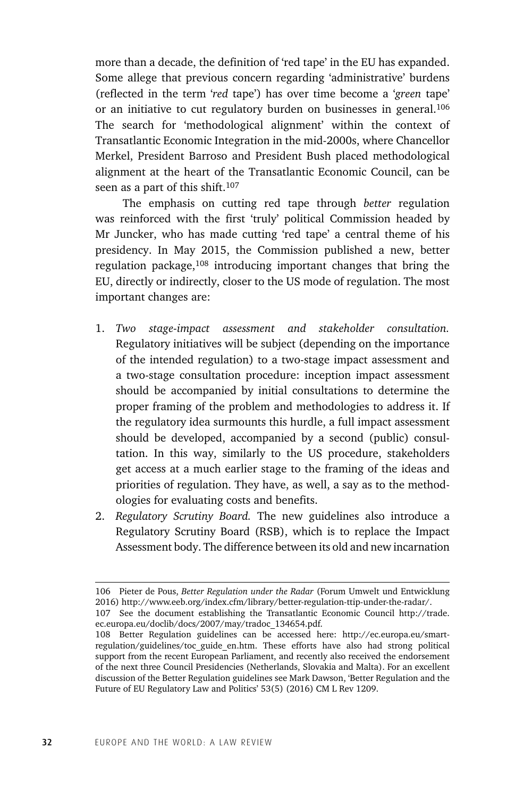more than a decade, the definition of 'red tape' in the EU has expanded. Some allege that previous concern regarding 'administrative' burdens (reflected in the term '*red* tape') has over time become a '*green* tape' or an initiative to cut regulatory burden on businesses in general.<sup>106</sup> The search for 'methodological alignment' within the context of Transatlantic Economic Integration in the mid-2000s, where Chancellor Merkel, President Barroso and President Bush placed methodological alignment at the heart of the Transatlantic Economic Council, can be seen as a part of this shift.<sup>107</sup>

The emphasis on cutting red tape through *better* regulation was reinforced with the first 'truly' political Commission headed by Mr Juncker, who has made cutting 'red tape' a central theme of his presidency. In May 2015, the Commission published a new, better regulation package,<sup>108</sup> introducing important changes that bring the EU, directly or indirectly, closer to the US mode of regulation. The most important changes are:

- 1. *Two stage-impact assessment and stakeholder consultation.* Regulatory initiatives will be subject (depending on the importance of the intended regulation) to a two-stage impact assessment and a two-stage consultation procedure: inception impact assessment should be accompanied by initial consultations to determine the proper framing of the problem and methodologies to address it. If the regulatory idea surmounts this hurdle, a full impact assessment should be developed, accompanied by a second (public) consultation. In this way, similarly to the US procedure, stakeholders get access at a much earlier stage to the framing of the ideas and priorities of regulation. They have, as well, a say as to the methodologies for evaluating costs and benefits.
- 2. *Regulatory Scrutiny Board.* The new guidelines also introduce a Regulatory Scrutiny Board (RSB), which is to replace the Impact Assessment body. The difference between its old and new incarnation

<sup>106</sup> Pieter de Pous, *Better Regulation under the Radar* (Forum Umwelt und Entwicklung 2016) http://www.eeb.org/index.cfm/library/better-regulation-ttip-under-the-radar/.

<sup>107</sup> See the document establishing the Transatlantic Economic Council http://trade. ec.europa.eu/doclib/docs/2007/may/tradoc\_134654.pdf.

<sup>108</sup> Better Regulation guidelines can be accessed here: http://ec.europa.eu/smartregulation/guidelines/toc\_guide\_en.htm. These efforts have also had strong political support from the recent European Parliament, and recently also received the endorsement of the next three Council Presidencies (Netherlands, Slovakia and Malta). For an excellent discussion of the Better Regulation guidelines see Mark Dawson, 'Better Regulation and the Future of EU Regulatory Law and Politics' 53(5) (2016) CM L Rev 1209.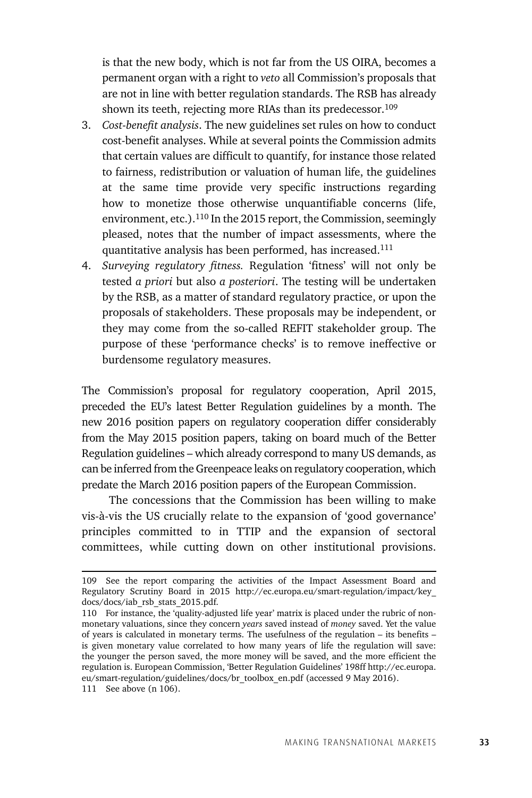is that the new body, which is not far from the US OIRA, becomes a permanent organ with a right to *veto* all Commission's proposals that are not in line with better regulation standards. The RSB has already shown its teeth, rejecting more RIAs than its predecessor.<sup>109</sup>

- 3. *Cost-benefit analysis*. The new guidelines set rules on how to conduct cost-benefit analyses. While at several points the Commission admits that certain values are difficult to quantify, for instance those related to fairness, redistribution or valuation of human life, the guidelines at the same time provide very specific instructions regarding how to monetize those otherwise unquantifiable concerns (life, environment, etc.).<sup>110</sup> In the 2015 report, the Commission, seemingly pleased, notes that the number of impact assessments, where the quantitative analysis has been performed, has increased.111
- 4. *Surveying regulatory fitness.* Regulation 'fitness' will not only be tested *a priori* but also *a posteriori*. The testing will be undertaken by the RSB, as a matter of standard regulatory practice, or upon the proposals of stakeholders. These proposals may be independent, or they may come from the so-called REFIT stakeholder group. The purpose of these 'performance checks' is to remove ineffective or burdensome regulatory measures.

The Commission's proposal for regulatory cooperation, April 2015, preceded the EU's latest Better Regulation guidelines by a month. The new 2016 position papers on regulatory cooperation differ considerably from the May 2015 position papers, taking on board much of the Better Regulation guidelines – which already correspond to many US demands, as can be inferred from the Greenpeace leaks on regulatory cooperation, which predate the March 2016 position papers of the European Commission.

The concessions that the Commission has been willing to make vis-à-vis the US crucially relate to the expansion of 'good governance' principles committed to in TTIP and the expansion of sectoral committees, while cutting down on other institutional provisions.

<sup>109</sup> See the report comparing the activities of the Impact Assessment Board and Regulatory Scrutiny Board in 2015 http://ec.europa.eu/smart-regulation/impact/key\_ docs/docs/iab\_rsb\_stats\_2015.pdf.

<sup>110</sup> For instance, the 'quality-adjusted life year' matrix is placed under the rubric of nonmonetary valuations, since they concern *years* saved instead of *money* saved. Yet the value of years is calculated in monetary terms. The usefulness of the regulation – its benefits – is given monetary value correlated to how many years of life the regulation will save: the younger the person saved, the more money will be saved, and the more efficient the regulation is. European Commission, 'Better Regulation Guidelines' 198ff http://ec.europa. eu/smart-regulation/guidelines/docs/br\_toolbox\_en.pdf (accessed 9 May 2016).

<sup>111</sup> See above (n 106).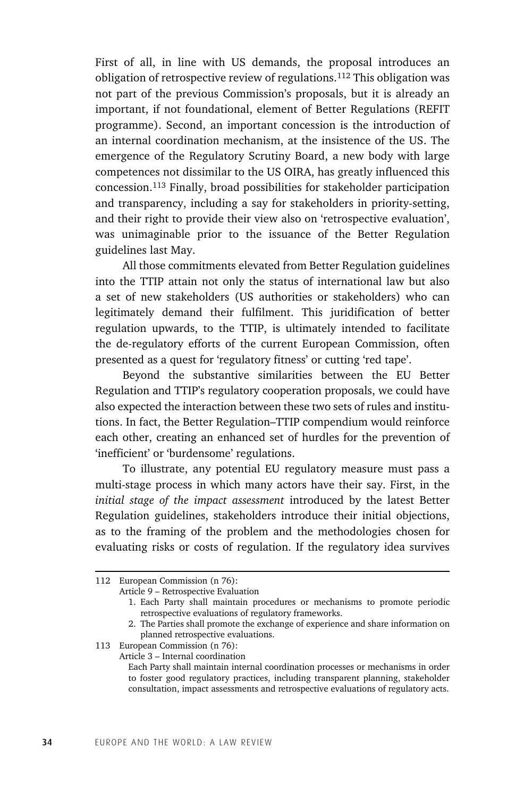First of all, in line with US demands, the proposal introduces an obligation of retrospective review of regulations.112 This obligation was not part of the previous Commission's proposals, but it is already an important, if not foundational, element of Better Regulations (REFIT programme). Second, an important concession is the introduction of an internal coordination mechanism, at the insistence of the US. The emergence of the Regulatory Scrutiny Board, a new body with large competences not dissimilar to the US OIRA, has greatly influenced this concession.113 Finally, broad possibilities for stakeholder participation and transparency, including a say for stakeholders in priority-setting, and their right to provide their view also on 'retrospective evaluation', was unimaginable prior to the issuance of the Better Regulation guidelines last May.

All those commitments elevated from Better Regulation guidelines into the TTIP attain not only the status of international law but also a set of new stakeholders (US authorities or stakeholders) who can legitimately demand their fulfilment. This juridification of better regulation upwards, to the TTIP, is ultimately intended to facilitate the de-regulatory efforts of the current European Commission, often presented as a quest for 'regulatory fitness' or cutting 'red tape'.

Beyond the substantive similarities between the EU Better Regulation and TTIP's regulatory cooperation proposals, we could have also expected the interaction between these two sets of rules and institutions. In fact, the Better Regulation–TTIP compendium would reinforce each other, creating an enhanced set of hurdles for the prevention of 'inefficient' or 'burdensome' regulations.

To illustrate, any potential EU regulatory measure must pass a multi-stage process in which many actors have their say. First, in the *initial stage of the impact assessment* introduced by the latest Better Regulation guidelines, stakeholders introduce their initial objections, as to the framing of the problem and the methodologies chosen for evaluating risks or costs of regulation. If the regulatory idea survives

113 European Commission (n 76):

<sup>112</sup> European Commission (n 76):

Article 9 – Retrospective Evaluation

 <sup>1.</sup> Each Party shall maintain procedures or mechanisms to promote periodic retrospective evaluations of regulatory frameworks.

 <sup>2.</sup> The Parties shall promote the exchange of experience and share information on planned retrospective evaluations.

Article 3 – Internal coordination

Each Party shall maintain internal coordination processes or mechanisms in order to foster good regulatory practices, including transparent planning, stakeholder consultation, impact assessments and retrospective evaluations of regulatory acts.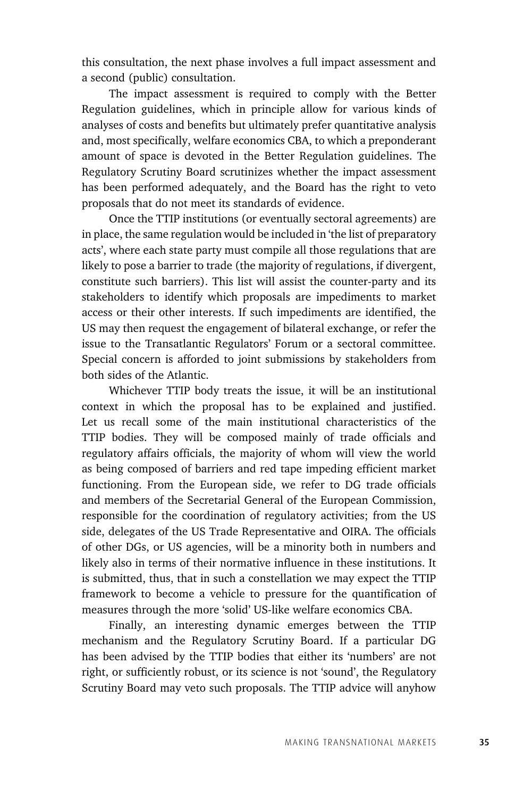this consultation, the next phase involves a full impact assessment and a second (public) consultation.

The impact assessment is required to comply with the Better Regulation guidelines, which in principle allow for various kinds of analyses of costs and benefits but ultimately prefer quantitative analysis and, most specifically, welfare economics CBA, to which a preponderant amount of space is devoted in the Better Regulation guidelines. The Regulatory Scrutiny Board scrutinizes whether the impact assessment has been performed adequately, and the Board has the right to veto proposals that do not meet its standards of evidence.

Once the TTIP institutions (or eventually sectoral agreements) are in place, the same regulation would be included in 'the list of preparatory acts', where each state party must compile all those regulations that are likely to pose a barrier to trade (the majority of regulations, if divergent, constitute such barriers). This list will assist the counter-party and its stakeholders to identify which proposals are impediments to market access or their other interests. If such impediments are identified, the US may then request the engagement of bilateral exchange, or refer the issue to the Transatlantic Regulators' Forum or a sectoral committee. Special concern is afforded to joint submissions by stakeholders from both sides of the Atlantic.

Whichever TTIP body treats the issue, it will be an institutional context in which the proposal has to be explained and justified. Let us recall some of the main institutional characteristics of the TTIP bodies. They will be composed mainly of trade officials and regulatory affairs officials, the majority of whom will view the world as being composed of barriers and red tape impeding efficient market functioning. From the European side, we refer to DG trade officials and members of the Secretarial General of the European Commission, responsible for the coordination of regulatory activities; from the US side, delegates of the US Trade Representative and OIRA. The officials of other DGs, or US agencies, will be a minority both in numbers and likely also in terms of their normative influence in these institutions. It is submitted, thus, that in such a constellation we may expect the TTIP framework to become a vehicle to pressure for the quantification of measures through the more 'solid' US-like welfare economics CBA.

Finally, an interesting dynamic emerges between the TTIP mechanism and the Regulatory Scrutiny Board. If a particular DG has been advised by the TTIP bodies that either its 'numbers' are not right, or sufficiently robust, or its science is not 'sound', the Regulatory Scrutiny Board may veto such proposals. The TTIP advice will anyhow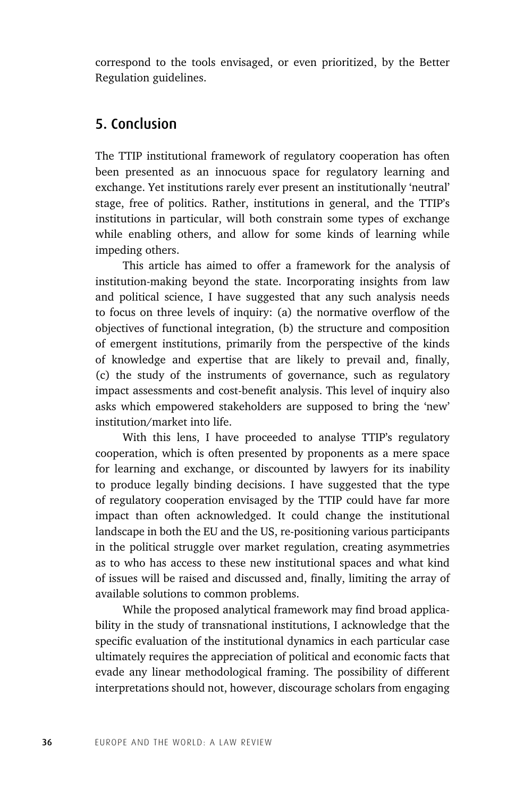correspond to the tools envisaged, or even prioritized, by the Better Regulation guidelines.

### 5. Conclusion

The TTIP institutional framework of regulatory cooperation has often been presented as an innocuous space for regulatory learning and exchange. Yet institutions rarely ever present an institutionally 'neutral' stage, free of politics. Rather, institutions in general, and the TTIP's institutions in particular, will both constrain some types of exchange while enabling others, and allow for some kinds of learning while impeding others.

This article has aimed to offer a framework for the analysis of institution-making beyond the state. Incorporating insights from law and political science, I have suggested that any such analysis needs to focus on three levels of inquiry: (a) the normative overflow of the objectives of functional integration, (b) the structure and composition of emergent institutions, primarily from the perspective of the kinds of knowledge and expertise that are likely to prevail and, finally, (c) the study of the instruments of governance, such as regulatory impact assessments and cost-benefit analysis. This level of inquiry also asks which empowered stakeholders are supposed to bring the 'new' institution/market into life.

With this lens, I have proceeded to analyse TTIP's regulatory cooperation, which is often presented by proponents as a mere space for learning and exchange, or discounted by lawyers for its inability to produce legally binding decisions. I have suggested that the type of regulatory cooperation envisaged by the TTIP could have far more impact than often acknowledged. It could change the institutional landscape in both the EU and the US, re-positioning various participants in the political struggle over market regulation, creating asymmetries as to who has access to these new institutional spaces and what kind of issues will be raised and discussed and, finally, limiting the array of available solutions to common problems.

While the proposed analytical framework may find broad applicability in the study of transnational institutions, I acknowledge that the specific evaluation of the institutional dynamics in each particular case ultimately requires the appreciation of political and economic facts that evade any linear methodological framing. The possibility of different interpretations should not, however, discourage scholars from engaging